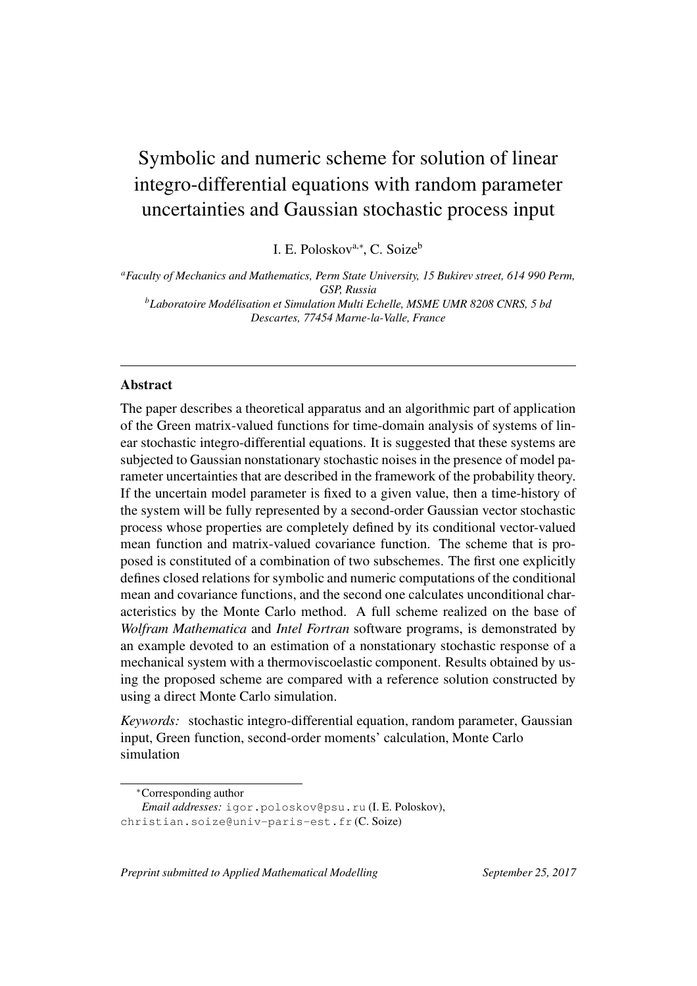# Symbolic and numeric scheme for solution of linear integro-differential equations with random parameter uncertainties and Gaussian stochastic process input

I. E. Poloskov<sup>a,∗</sup>, C. Soize<sup>b</sup>

*<sup>a</sup>Faculty of Mechanics and Mathematics, Perm State University, 15 Bukirev street, 614 990 Perm, GSP, Russia <sup>b</sup>Laboratoire Modelisation et Simulation Multi Echelle, MSME UMR 8208 CNRS, 5 ´ bd Descartes, 77454 Marne-la-Valle, France*

## **Abstract**

The paper describes a theoretical apparatus and an algorithmic part of application of the Green matrix-valued functions for time-domain analysis of systems of linear stochastic integro-differential equations. It is suggested that these systems are subjected to Gaussian nonstationary stochastic noises in the presence of model parameter uncertainties that are described in the framework of the probability theory. If the uncertain model parameter is fixed to a given value, then a time-history of the system will be fully represented by a second-order Gaussian vector stochastic process whose properties are completely defined by its conditional vector-valued mean function and matrix-valued covariance function. The scheme that is proposed is constituted of a combination of two subschemes. The first one explicitly defines closed relations for symbolic and numeric computations of the conditional mean and covariance functions, and the second one calculates unconditional characteristics by the Monte Carlo method. A full scheme realized on the base of *Wolfram Mathematica* and *Intel Fortran* software programs, is demonstrated by an example devoted to an estimation of a nonstationary stochastic response of a mechanical system with a thermoviscoelastic component. Results obtained by using the proposed scheme are compared with a reference solution constructed by using a direct Monte Carlo simulation.

*Keywords:* stochastic integro-differential equation, random parameter, Gaussian input, Green function, second-order moments' calculation, Monte Carlo simulation

*Preprint submitted to Applied Mathematical Modelling* September 25, 2017

<sup>∗</sup>Corresponding author

*Email addresses:* igor.poloskov@psu.ru (I. E. Poloskov), christian.soize@univ-paris-est.fr (C. Soize)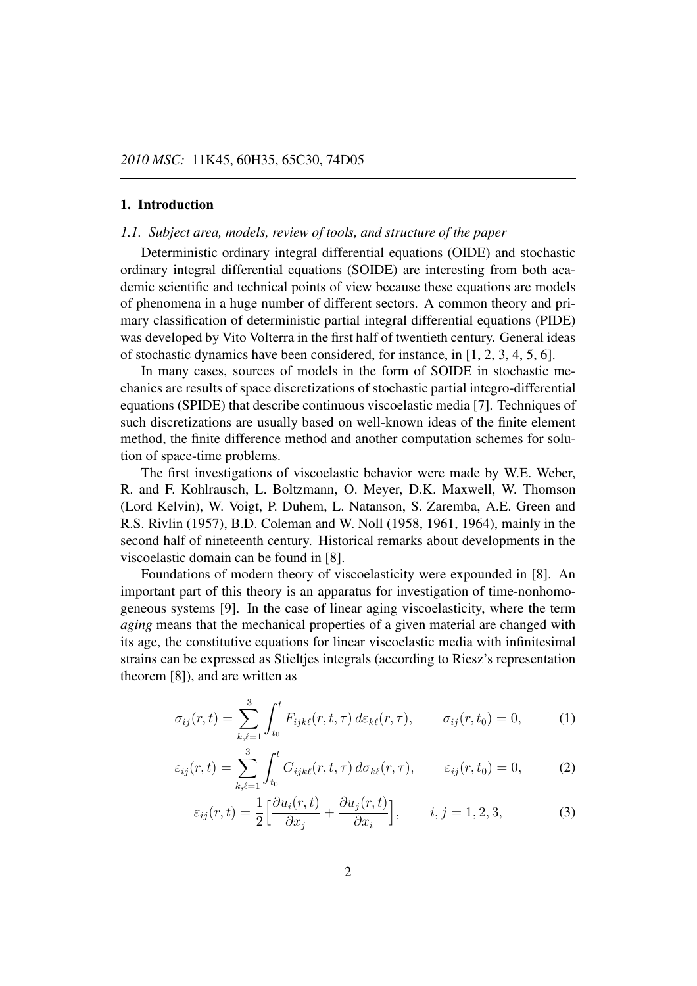## **1. Introduction**

#### *1.1. Subject area, models, review of tools, and structure of the paper*

Deterministic ordinary integral differential equations (OIDE) and stochastic ordinary integral differential equations (SOIDE) are interesting from both academic scientific and technical points of view because these equations are models of phenomena in a huge number of different sectors. A common theory and primary classification of deterministic partial integral differential equations (PIDE) was developed by Vito Volterra in the first half of twentieth century. General ideas of stochastic dynamics have been considered, for instance, in [1, 2, 3, 4, 5, 6].

In many cases, sources of models in the form of SOIDE in stochastic mechanics are results of space discretizations of stochastic partial integro-differential equations (SPIDE) that describe continuous viscoelastic media [7]. Techniques of such discretizations are usually based on well-known ideas of the finite element method, the finite difference method and another computation schemes for solution of space-time problems.

The first investigations of viscoelastic behavior were made by W.E. Weber, R. and F. Kohlrausch, L. Boltzmann, O. Meyer, D.K. Maxwell, W. Thomson (Lord Kelvin), W. Voigt, P. Duhem, L. Natanson, S. Zaremba, A.E. Green and R.S. Rivlin (1957), B.D. Coleman and W. Noll (1958, 1961, 1964), mainly in the second half of nineteenth century. Historical remarks about developments in the viscoelastic domain can be found in [8].

Foundations of modern theory of viscoelasticity were expounded in [8]. An important part of this theory is an apparatus for investigation of time-nonhomogeneous systems [9]. In the case of linear aging viscoelasticity, where the term *aging* means that the mechanical properties of a given material are changed with its age, the constitutive equations for linear viscoelastic media with infinitesimal strains can be expressed as Stieltjes integrals (according to Riesz's representation theorem [8]), and are written as

$$
\sigma_{ij}(r,t) = \sum_{k,\ell=1}^{3} \int_{t_0}^{t} F_{ijk\ell}(r,t,\tau) d\varepsilon_{k\ell}(r,\tau), \qquad \sigma_{ij}(r,t_0) = 0,
$$
 (1)

$$
\varepsilon_{ij}(r,t) = \sum_{k,\ell=1}^3 \int_{t_0}^t G_{ijk\ell}(r,t,\tau) d\sigma_{k\ell}(r,\tau), \qquad \varepsilon_{ij}(r,t_0) = 0, \tag{2}
$$

$$
\varepsilon_{ij}(r,t) = \frac{1}{2} \left[ \frac{\partial u_i(r,t)}{\partial x_j} + \frac{\partial u_j(r,t)}{\partial x_i} \right], \qquad i, j = 1, 2, 3,
$$
 (3)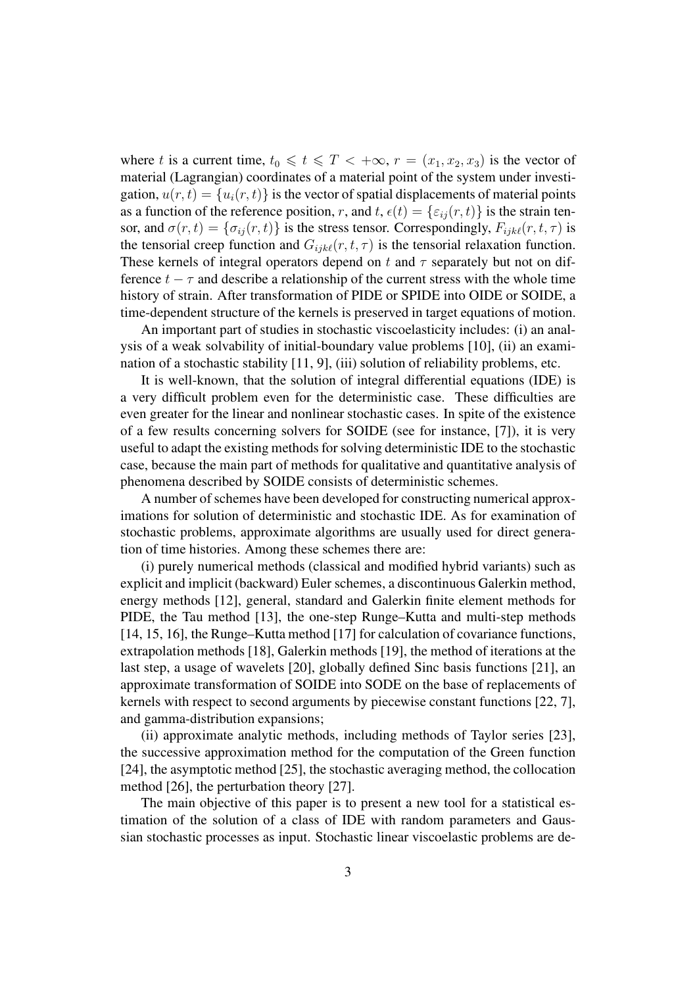where t is a current time,  $t_0 \leq t \leq T < +\infty$ ,  $r = (x_1, x_2, x_3)$  is the vector of material (Lagrangian) coordinates of a material point of the system under investigation,  $u(r, t) = {u_i(r, t)}$  is the vector of spatial displacements of material points as a function of the reference position, r, and  $t$ ,  $\epsilon(t) = {\epsilon_{ij}(r, t)}$  is the strain tensor, and  $\sigma(r, t) = {\sigma_{ij}(r, t)}$  is the stress tensor. Correspondingly,  $F_{ijk\ell}(r, t, \tau)$  is the tensorial creep function and  $G_{ijk\ell}(r, t, \tau)$  is the tensorial relaxation function. These kernels of integral operators depend on t and  $\tau$  separately but not on difference  $t - \tau$  and describe a relationship of the current stress with the whole time history of strain. After transformation of PIDE or SPIDE into OIDE or SOIDE, a time-dependent structure of the kernels is preserved in target equations of motion.

An important part of studies in stochastic viscoelasticity includes: (i) an analysis of a weak solvability of initial-boundary value problems [10], (ii) an examination of a stochastic stability [11, 9], (iii) solution of reliability problems, etc.

It is well-known, that the solution of integral differential equations (IDE) is a very difficult problem even for the deterministic case. These difficulties are even greater for the linear and nonlinear stochastic cases. In spite of the existence of a few results concerning solvers for SOIDE (see for instance, [7]), it is very useful to adapt the existing methods for solving deterministic IDE to the stochastic case, because the main part of methods for qualitative and quantitative analysis of phenomena described by SOIDE consists of deterministic schemes.

A number of schemes have been developed for constructing numerical approximations for solution of deterministic and stochastic IDE. As for examination of stochastic problems, approximate algorithms are usually used for direct generation of time histories. Among these schemes there are:

(i) purely numerical methods (classical and modified hybrid variants) such as explicit and implicit (backward) Euler schemes, a discontinuous Galerkin method, energy methods [12], general, standard and Galerkin finite element methods for PIDE, the Tau method [13], the one-step Runge–Kutta and multi-step methods [14, 15, 16], the Runge–Kutta method [17] for calculation of covariance functions, extrapolation methods [18], Galerkin methods [19], the method of iterations at the last step, a usage of wavelets [20], globally defined Sinc basis functions [21], an approximate transformation of SOIDE into SODE on the base of replacements of kernels with respect to second arguments by piecewise constant functions [22, 7], and gamma-distribution expansions;

(ii) approximate analytic methods, including methods of Taylor series [23], the successive approximation method for the computation of the Green function [24], the asymptotic method [25], the stochastic averaging method, the collocation method [26], the perturbation theory [27].

The main objective of this paper is to present a new tool for a statistical estimation of the solution of a class of IDE with random parameters and Gaussian stochastic processes as input. Stochastic linear viscoelastic problems are de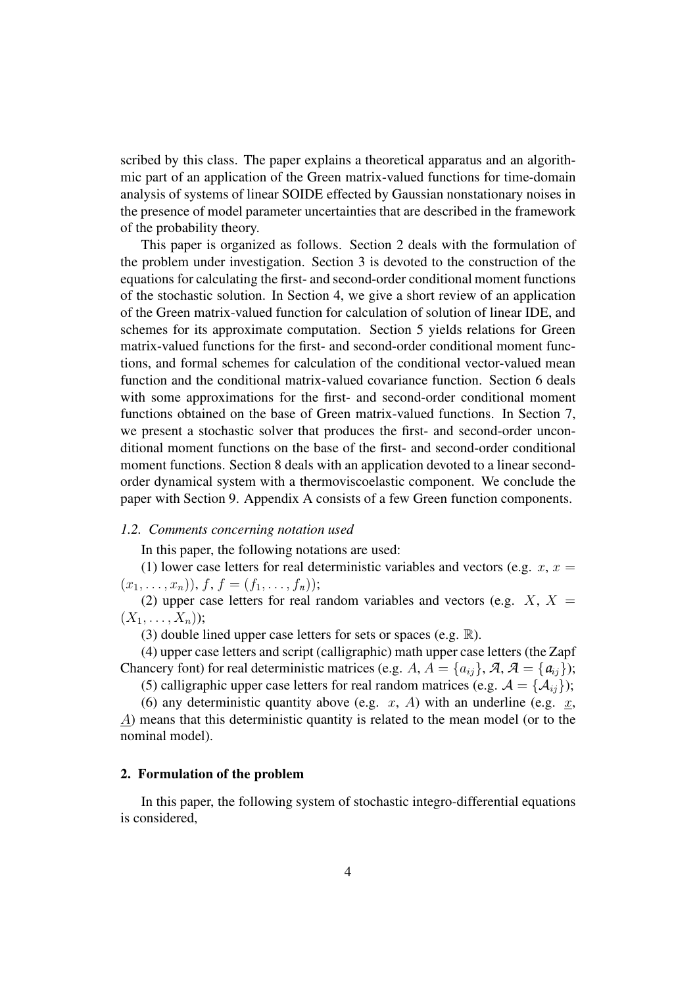scribed by this class. The paper explains a theoretical apparatus and an algorithmic part of an application of the Green matrix-valued functions for time-domain analysis of systems of linear SOIDE effected by Gaussian nonstationary noises in the presence of model parameter uncertainties that are described in the framework of the probability theory.

This paper is organized as follows. Section 2 deals with the formulation of the problem under investigation. Section 3 is devoted to the construction of the equations for calculating the first- and second-order conditional moment functions of the stochastic solution. In Section 4, we give a short review of an application of the Green matrix-valued function for calculation of solution of linear IDE, and schemes for its approximate computation. Section 5 yields relations for Green matrix-valued functions for the first- and second-order conditional moment functions, and formal schemes for calculation of the conditional vector-valued mean function and the conditional matrix-valued covariance function. Section 6 deals with some approximations for the first- and second-order conditional moment functions obtained on the base of Green matrix-valued functions. In Section 7, we present a stochastic solver that produces the first- and second-order unconditional moment functions on the base of the first- and second-order conditional moment functions. Section 8 deals with an application devoted to a linear secondorder dynamical system with a thermoviscoelastic component. We conclude the paper with Section 9. Appendix A consists of a few Green function components.

#### *1.2. Comments concerning notation used*

In this paper, the following notations are used:

(1) lower case letters for real deterministic variables and vectors (e.g.  $x, x =$  $(x_1, \ldots, x_n)$ ,  $f, f = (f_1, \ldots, f_n)$ ;

(2) upper case letters for real random variables and vectors (e.g.  $X$ ,  $X =$  $(X_1, \ldots, X_n);$ 

(3) double lined upper case letters for sets or spaces (e.g.  $\mathbb{R}$ ).

(4) upper case letters and script (calligraphic) math upper case letters (the Zapf Chancery font) for real deterministic matrices (e.g. A,  $A = \{a_{ij}\}\,$ ,  $A, A = \{a_{ij}\}\$ ;

(5) calligraphic upper case letters for real random matrices (e.g.  $A = \{A_{ij}\}\;$ ;

(6) any deterministic quantity above (e.g.  $x$ , A) with an underline (e.g.  $x$ , A) means that this deterministic quantity is related to the mean model (or to the nominal model).

## **2. Formulation of the problem**

In this paper, the following system of stochastic integro-differential equations is considered,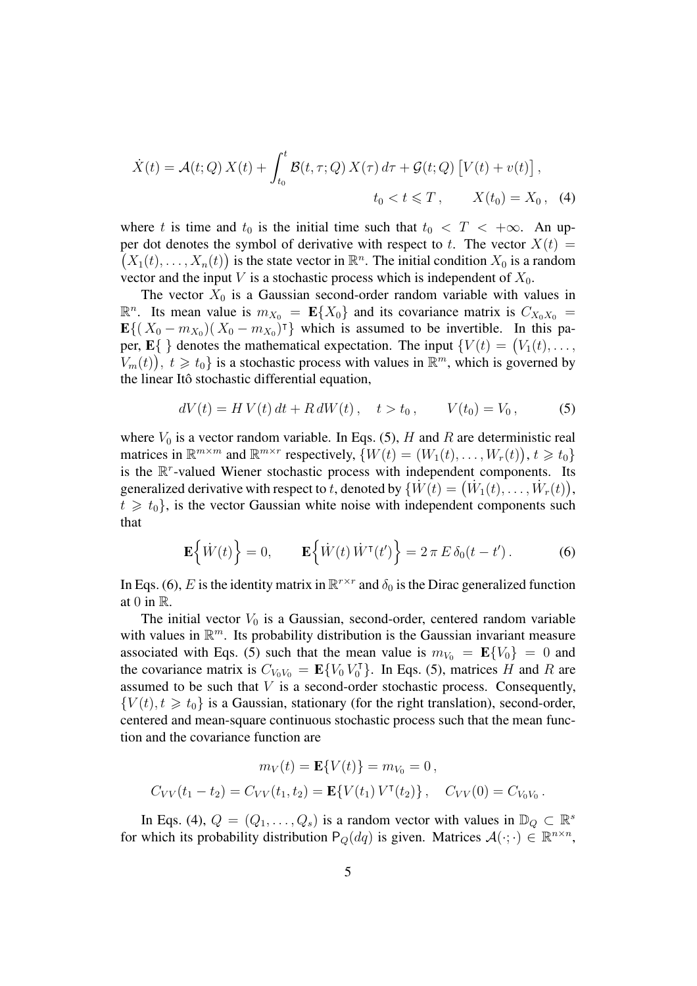$$
\dot{X}(t) = \mathcal{A}(t; Q) X(t) + \int_{t_0}^t \mathcal{B}(t, \tau; Q) X(\tau) d\tau + \mathcal{G}(t; Q) [V(t) + v(t)],
$$
  
\n
$$
t_0 < t \leq T, \qquad X(t_0) = X_0, \quad (4)
$$

where t is time and  $t_0$  is the initial time such that  $t_0 < T < +\infty$ . An upper dot denotes the symbol of derivative with respect to t. The vector  $X(t) =$  $(X_1(t),...,X_n(t))$  is the state vector in  $\mathbb{R}^n$ . The initial condition  $X_0$  is a random vector and the input V is a stochastic process which is independent of  $X_0$ .

The vector  $X_0$  is a Gaussian second-order random variable with values in  $\mathbb{R}^n$ . Its mean value is  $m_{X_0} = \mathbf{E}\{X_0\}$  and its covariance matrix is  $C_{X_0X_0} =$  $\mathbf{E}\{(X_0 - m_{X_0})(X_0 - m_{X_0})^{\dagger}\}\)$  which is assumed to be invertible. In this paper,  $\mathbf{E} \{ \}$  denotes the mathematical expectation. The input  $\{ V(t) = (V_1(t), \ldots, V_t) \}$  $V_m(t)$ ,  $t \ge t_0$  is a stochastic process with values in  $\mathbb{R}^m$ , which is governed by the linear Itô stochastic differential equation,

$$
dV(t) = H V(t) dt + R dW(t), \quad t > t_0, \qquad V(t_0) = V_0,
$$
 (5)

where  $V_0$  is a vector random variable. In Eqs. (5), H and R are deterministic real matrices in  $\mathbb{R}^{m \times m}$  and  $\mathbb{R}^{m \times r}$  respectively,  $\{W(t) = (W_1(t), \dots, W_r(t)), t \geq t_0\}$ is the  $\mathbb{R}^r$ -valued Wiener stochastic process with independent components. Its generalized derivative with respect to t, denoted by  $\{\dot{W}(t) = (\dot{W}_1(t), \dots, \dot{W}_r(t)\),\}$  $t \geq t_0$ , is the vector Gaussian white noise with independent components such that

$$
\mathbf{E}\left\{\dot{W}(t)\right\} = 0, \qquad \mathbf{E}\left\{\dot{W}(t)\dot{W}^{\mathsf{T}}(t')\right\} = 2\,\pi\,E\,\delta_0(t - t')\,. \tag{6}
$$

In Eqs. (6), E is the identity matrix in  $\mathbb{R}^{r \times r}$  and  $\delta_0$  is the Dirac generalized function at 0 in  $\mathbb{R}$ .

The initial vector  $V_0$  is a Gaussian, second-order, centered random variable with values in  $\mathbb{R}^m$ . Its probability distribution is the Gaussian invariant measure associated with Eqs. (5) such that the mean value is  $m_{V_0} = \mathbf{E}\{V_0\} = 0$  and the covariance matrix is  $C_{V_0 V_0} = \mathbf{E} \{ V_0 V_0^{\dagger}$  $\binom{7}{0}$ . In Eqs. (5), matrices H and R are assumed to be such that  $V$  is a second-order stochastic process. Consequently,  ${V(t), t \geq t_0}$  is a Gaussian, stationary (for the right translation), second-order, centered and mean-square continuous stochastic process such that the mean function and the covariance function are

$$
m_V(t) = \mathbf{E}\{V(t)\} = m_{V_0} = 0,
$$
  
\n
$$
C_{VV}(t_1 - t_2) = C_{VV}(t_1, t_2) = \mathbf{E}\{V(t_1) V^{\mathsf{T}}(t_2)\}, \quad C_{VV}(0) = C_{V_0V_0}.
$$

In Eqs. (4),  $Q = (Q_1, \ldots, Q_s)$  is a random vector with values in  $\mathbb{D}_Q \subset \mathbb{R}^s$ for which its probability distribution  $P_Q(dq)$  is given. Matrices  $\mathcal{A}(\cdot; \cdot) \in \mathbb{R}^{n \times n}$ ,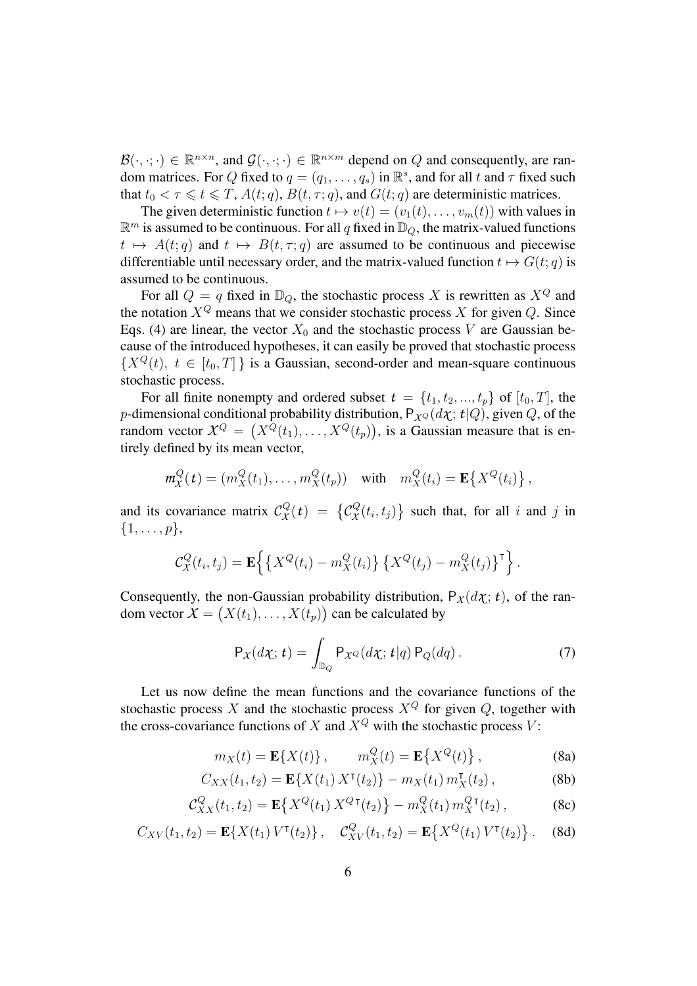$\mathcal{B}(\cdot,\cdot;\cdot) \in \mathbb{R}^{n \times n}$ , and  $\mathcal{G}(\cdot,\cdot;\cdot) \in \mathbb{R}^{n \times m}$  depend on Q and consequently, are random matrices. For Q fixed to  $q = (q_1, \ldots, q_s)$  in  $\mathbb{R}^s$ , and for all t and  $\tau$  fixed such that  $t_0 < \tau \leq t \leq T$ ,  $A(t; q)$ ,  $B(t, \tau; q)$ , and  $G(t; q)$  are deterministic matrices.

The given deterministic function  $t \mapsto v(t) = (v_1(t), \dots, v_m(t))$  with values in  $\mathbb{R}^m$  is assumed to be continuous. For all q fixed in  $\mathbb{D}_Q$ , the matrix-valued functions  $t \mapsto A(t; q)$  and  $t \mapsto B(t, \tau; q)$  are assumed to be continuous and piecewise differentiable until necessary order, and the matrix-valued function  $t \mapsto G(t; q)$  is assumed to be continuous.

For all  $Q = q$  fixed in  $\mathbb{D}_Q$ , the stochastic process X is rewritten as  $X^Q$  and the notation  $X^Q$  means that we consider stochastic process X for given  $Q$ . Since Eqs. (4) are linear, the vector  $X_0$  and the stochastic process V are Gaussian because of the introduced hypotheses, it can easily be proved that stochastic process  ${X^Q(t), t \in [t_0, T]}$  is a Gaussian, second-order and mean-square continuous stochastic process.

For all finite nonempty and ordered subset  $t = \{t_1, t_2, ..., t_p\}$  of  $[t_0, T]$ , the p-dimensional conditional probability distribution,  $P_{X^Q}(d\chi; t|Q)$ , given Q, of the random vector  $X^{Q} = (X^{Q}(t_1), \ldots, X^{Q}(t_p))$ , is a Gaussian measure that is entirely defined by its mean vector,

$$
m_X^Q(t) = (m_X^Q(t_1), \dots, m_X^Q(t_p)) \quad \text{with} \quad m_X^Q(t_i) = \mathbf{E}\left\{X^Q(t_i)\right\},
$$

and its covariance matrix  $\mathcal{C}_{\chi}^{Q}(t) = \left\{ \mathcal{C}_{\chi}^{Q}(t_i, t_j) \right\}$  such that, for all i and j in  $\{1,\ldots,p\},\$ 

$$
\mathcal{C}^Q_X(t_i,t_j) = \mathbf{E}\left\{ \left\{ X^Q(t_i) - m_X^Q(t_i) \right\} \left\{ X^Q(t_j) - m_X^Q(t_j) \right\}^{\dagger} \right\}.
$$

Consequently, the non-Gaussian probability distribution,  $P_X(d\chi; t)$ , of the random vector  $X = (X(t_1), \dots, X(t_p))$  can be calculated by

$$
P_X(d\chi;t) = \int_{\mathbb{D}_Q} P_{\chi Q}(d\chi;t|q) P_Q(dq).
$$
 (7)

Let us now define the mean functions and the covariance functions of the stochastic process X and the stochastic process  $X^Q$  for given  $Q$ , together with the cross-covariance functions of X and  $X^Q$  with the stochastic process V:

$$
m_X(t) = \mathbf{E}\{X(t)\}, \qquad m_X^Q(t) = \mathbf{E}\{X^Q(t)\}, \qquad (8a)
$$

$$
C_{XX}(t_1, t_2) = \mathbf{E}\{X(t_1) \, X^{\mathsf{T}}(t_2)\} - m_X(t_1) \, m_X^{\mathsf{T}}(t_2) \,,\tag{8b}
$$

$$
\mathcal{C}_{XX}^Q(t_1, t_2) = \mathbf{E}\{X^Q(t_1) \, X^{Q\,\mathsf{T}}(t_2)\} - m_X^Q(t_1) \, m_X^{Q\,\mathsf{T}}(t_2) \,,\tag{8c}
$$

$$
C_{XV}(t_1, t_2) = \mathbf{E}\{X(t_1) V^{\mathsf{T}}(t_2)\}, \quad C_{XV}^Q(t_1, t_2) = \mathbf{E}\{X^Q(t_1) V^{\mathsf{T}}(t_2)\}.
$$
 (8d)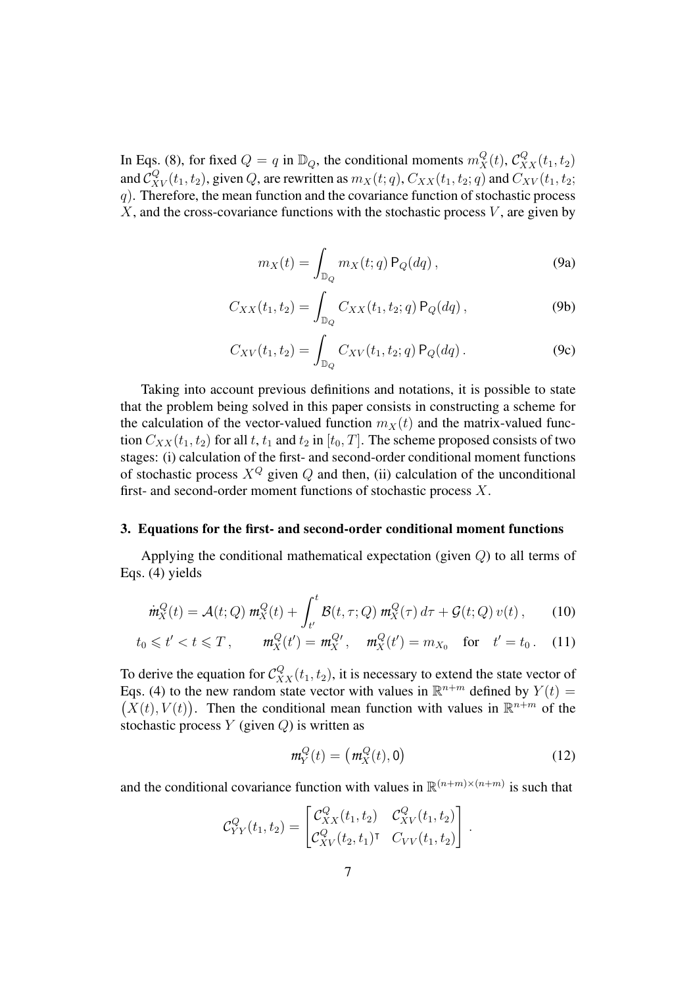In Eqs. (8), for fixed  $Q = q$  in  $\mathbb{D}_Q$ , the conditional moments  $m_X^Q(t)$ ,  $C_{XX}^Q(t_1, t_2)$ and  $C_{XV}^Q(t_1, t_2)$ , given Q, are rewritten as  $m_X(t; q)$ ,  $C_{XX}(t_1, t_2; q)$  and  $C_{XV}(t_1, t_2;$  $q$ ). Therefore, the mean function and the covariance function of stochastic process  $X$ , and the cross-covariance functions with the stochastic process  $V$ , are given by

$$
m_X(t) = \int_{\mathbb{D}_Q} m_X(t; q) P_Q(dq), \qquad (9a)
$$

$$
C_{XX}(t_1, t_2) = \int_{\mathbb{D}_Q} C_{XX}(t_1, t_2; q) P_Q(dq), \qquad (9b)
$$

$$
C_{XV}(t_1, t_2) = \int_{\mathbb{D}_Q} C_{XV}(t_1, t_2; q) P_Q(dq).
$$
 (9c)

Taking into account previous definitions and notations, it is possible to state that the problem being solved in this paper consists in constructing a scheme for the calculation of the vector-valued function  $m<sub>X</sub>(t)$  and the matrix-valued function  $C_{XX}(t_1, t_2)$  for all t,  $t_1$  and  $t_2$  in  $[t_0, T]$ . The scheme proposed consists of two stages: (i) calculation of the first- and second-order conditional moment functions of stochastic process  $X^Q$  given  $Q$  and then, (ii) calculation of the unconditional first- and second-order moment functions of stochastic process X.

#### **3. Equations for the first- and second-order conditional moment functions**

Applying the conditional mathematical expectation (given  $Q$ ) to all terms of Eqs. (4) yields

$$
\dot{m}_X^Q(t) = \mathcal{A}(t; Q) \, m_X^Q(t) + \int_{t'}^t \mathcal{B}(t, \tau; Q) \, m_X^Q(\tau) \, d\tau + \mathcal{G}(t; Q) \, v(t) \,, \tag{10}
$$

$$
t_0 \leq t' < t \leq T
$$
,  $m_X^Q(t') = m_X^{Qt}$ ,  $m_X^Q(t') = m_{X_0}$  for  $t' = t_0$ . (11)

To derive the equation for  $C_{XX}^Q(t_1, t_2)$ , it is necessary to extend the state vector of Eqs. (4) to the new random state vector with values in  $\mathbb{R}^{n+m}$  defined by  $Y(t) =$  $(X(t), V(t))$ . Then the conditional mean function with values in  $\mathbb{R}^{n+m}$  of the stochastic process  $Y$  (given  $Q$ ) is written as

$$
m_Y^Q(t) = \left(m_X^Q(t), 0\right) \tag{12}
$$

and the conditional covariance function with values in  $\mathbb{R}^{(n+m)\times(n+m)}$  is such that

$$
\mathcal{C}_{YY}^Q(t_1, t_2) = \begin{bmatrix} \mathcal{C}_{XX}^Q(t_1, t_2) & \mathcal{C}_{XV}^Q(t_1, t_2) \\ \mathcal{C}_{XV}^Q(t_2, t_1)^\intercal & C_{VV}(t_1, t_2) \end{bmatrix}.
$$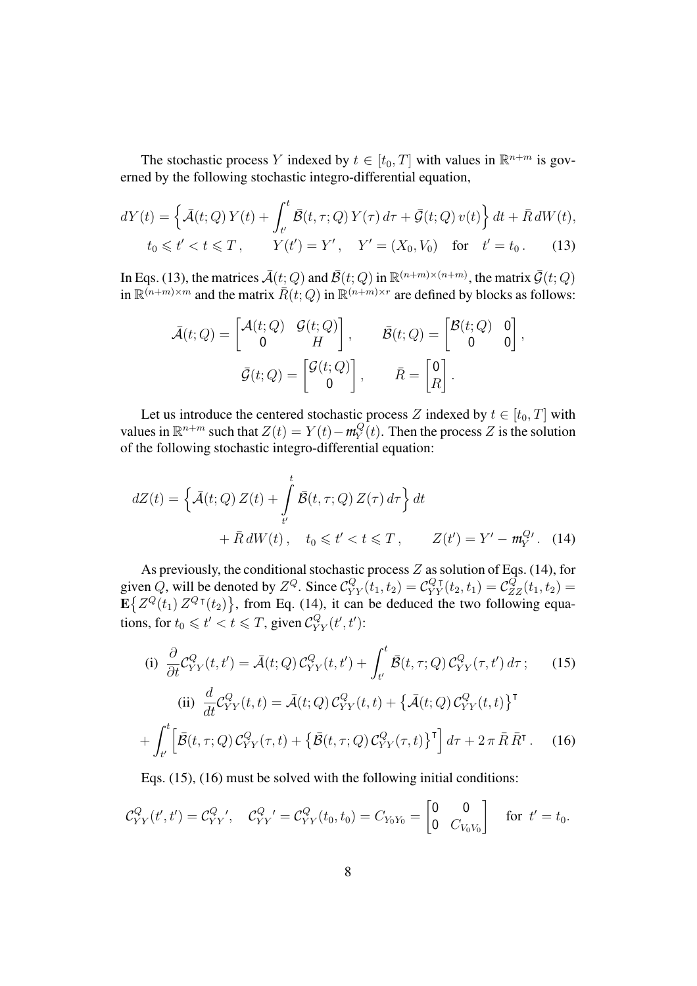The stochastic process Y indexed by  $t \in [t_0, T]$  with values in  $\mathbb{R}^{n+m}$  is governed by the following stochastic integro-differential equation,

$$
dY(t) = \left\{ \bar{\mathcal{A}}(t; Q) Y(t) + \int_{t'}^{t} \bar{\mathcal{B}}(t, \tau; Q) Y(\tau) d\tau + \bar{\mathcal{G}}(t; Q) v(t) \right\} dt + \bar{R} dW(t),
$$
  
\n
$$
t_0 \leq t' < t \leq T, \qquad Y(t') = Y', \quad Y' = (X_0, V_0) \quad \text{for} \quad t' = t_0.
$$
 (13)

In Eqs. (13), the matrices  $\bar{\mathcal{A}}(t;Q)$  and  $\bar{\mathcal{B}}(t;Q)$  in  $\mathbb{R}^{(n+m)\times(n+m)}$ , the matrix  $\bar{\mathcal{G}}(t;Q)$ in  $\mathbb{R}^{(n+m)\times m}$  and the matrix  $\bar{R}(t;Q)$  in  $\mathbb{R}^{(n+m)\times r}$  are defined by blocks as follows:

$$
\bar{\mathcal{A}}(t;Q) = \begin{bmatrix} \mathcal{A}(t;Q) & \mathcal{G}(t;Q) \\ 0 & H \end{bmatrix}, \qquad \bar{\mathcal{B}}(t;Q) = \begin{bmatrix} \mathcal{B}(t;Q) & 0 \\ 0 & 0 \end{bmatrix},
$$

$$
\bar{\mathcal{G}}(t;Q) = \begin{bmatrix} \mathcal{G}(t;Q) \\ 0 \end{bmatrix}, \qquad \bar{R} = \begin{bmatrix} 0 \\ R \end{bmatrix}.
$$

Let us introduce the centered stochastic process Z indexed by  $t \in [t_0, T]$  with values in  $\mathbb{R}^{n+m}$  such that  $Z(t) = Y(t) - m_Y^Q$  $Y_Y^Q(t)$ . Then the process Z is the solution of the following stochastic integro-differential equation:

$$
dZ(t) = \left\{ \bar{\mathcal{A}}(t; Q) Z(t) + \int_{t'}^{t} \bar{\mathcal{B}}(t, \tau; Q) Z(\tau) d\tau \right\} dt
$$

$$
+ \bar{R} dW(t), \quad t_0 \leq t' < t \leq T, \qquad Z(t') = Y' - m_Y^{Q'}.
$$
 (14)

As previously, the conditional stochastic process  $Z$  as solution of Eqs. (14), for given Q, will be denoted by  $Z^Q$ . Since  $C_{YY}^Q(t_1, t_2) = C_{YY}^Q(t_2, t_1) = C_{ZZ}^Q(t_1, t_2) =$  $\mathbf{E}\left\{Z^Q(t_1)\,Z^Q\tau(t_2)\right\}$ , from Eq. (14), it can be deduced the two following equations, for  $t_0 \leq t' < t \leq T$ , given  $C_{YY}^Q(t', t')$ :

(i) 
$$
\frac{\partial}{\partial t} C_{YY}^{Q}(t, t') = \bar{\mathcal{A}}(t; Q) C_{YY}^{Q}(t, t') + \int_{t'}^{t} \bar{\mathcal{B}}(t, \tau; Q) C_{YY}^{Q}(\tau, t') d\tau; \qquad (15)
$$
  
\n(ii) 
$$
\frac{d}{dt} C_{YY}^{Q}(t, t) = \bar{\mathcal{A}}(t; Q) C_{YY}^{Q}(t, t) + \{\bar{\mathcal{A}}(t; Q) C_{YY}^{Q}(t, t)\}^{\mathsf{T}}
$$

$$
+ \int_{t'}^{t} \left[ \bar{\mathcal{B}}(t, \tau; Q) C_{YY}^{Q}(\tau, t) + \{\bar{\mathcal{B}}(t, \tau; Q) C_{YY}^{Q}(\tau, t)\}^{\mathsf{T}} \right] d\tau + 2 \pi \bar{R} \bar{R}^{\mathsf{T}}. \qquad (16)
$$

Eqs. (15), (16) must be solved with the following initial conditions:

$$
\mathcal{C}_{YY}^Q(t',t') = \mathcal{C}_{YY}^Q{'}', \quad \mathcal{C}_{YY}^Q{}' = \mathcal{C}_{YY}^Q(t_0,t_0) = C_{Y_0Y_0} = \begin{bmatrix} 0 & 0 \\ 0 & C_{V_0V_0} \end{bmatrix} \quad \text{for } t' = t_0.
$$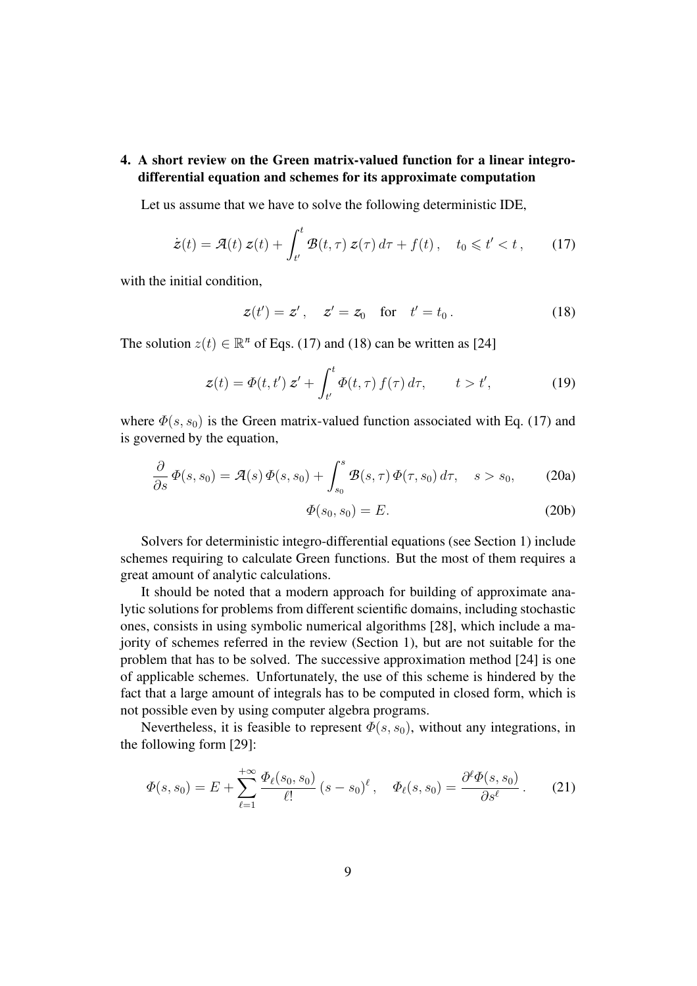## **4. A short review on the Green matrix-valued function for a linear integrodifferential equation and schemes for its approximate computation**

Let us assume that we have to solve the following deterministic IDE,

$$
\dot{z}(t) = \mathcal{A}(t) z(t) + \int_{t'}^{t} \mathcal{B}(t, \tau) z(\tau) d\tau + f(t), \quad t_0 \leq t' < t, \qquad (17)
$$

with the initial condition,

$$
z(t') = z'
$$
,  $z' = z_0$  for  $t' = t_0$ . (18)

The solution  $z(t) \in \mathbb{R}^n$  of Eqs. (17) and (18) can be written as [24]

$$
z(t) = \Phi(t, t') z' + \int_{t'}^{t} \Phi(t, \tau) f(\tau) d\tau, \qquad t > t', \qquad (19)
$$

where  $\Phi(s, s_0)$  is the Green matrix-valued function associated with Eq. (17) and is governed by the equation,

$$
\frac{\partial}{\partial s}\Phi(s,s_0) = \mathcal{A}(s)\Phi(s,s_0) + \int_{s_0}^s \mathcal{B}(s,\tau)\Phi(\tau,s_0)\,d\tau, \quad s > s_0,\tag{20a}
$$

$$
\Phi(s_0, s_0) = E. \tag{20b}
$$

Solvers for deterministic integro-differential equations (see Section 1) include schemes requiring to calculate Green functions. But the most of them requires a great amount of analytic calculations.

It should be noted that a modern approach for building of approximate analytic solutions for problems from different scientific domains, including stochastic ones, consists in using symbolic numerical algorithms [28], which include a majority of schemes referred in the review (Section 1), but are not suitable for the problem that has to be solved. The successive approximation method [24] is one of applicable schemes. Unfortunately, the use of this scheme is hindered by the fact that a large amount of integrals has to be computed in closed form, which is not possible even by using computer algebra programs.

Nevertheless, it is feasible to represent  $\Phi(s, s_0)$ , without any integrations, in the following form [29]:

$$
\Phi(s, s_0) = E + \sum_{\ell=1}^{+\infty} \frac{\Phi_{\ell}(s_0, s_0)}{\ell!} (s - s_0)^{\ell}, \quad \Phi_{\ell}(s, s_0) = \frac{\partial^{\ell} \Phi(s, s_0)}{\partial s^{\ell}}.
$$
 (21)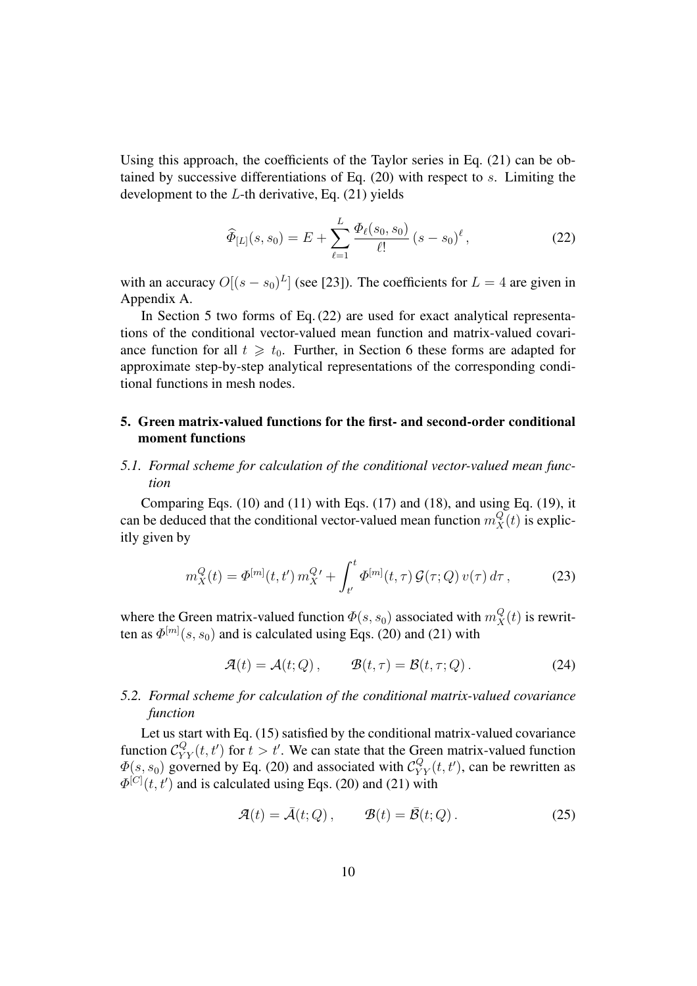Using this approach, the coefficients of the Taylor series in Eq.  $(21)$  can be obtained by successive differentiations of Eq. (20) with respect to s. Limiting the development to the  $L$ -th derivative, Eq. (21) yields

$$
\widehat{\Phi}_{[L]}(s,s_0) = E + \sum_{\ell=1}^{L} \frac{\Phi_{\ell}(s_0, s_0)}{\ell!} (s - s_0)^{\ell}, \qquad (22)
$$

with an accuracy  $O[(s - s_0)^L]$  (see [23]). The coefficients for  $L = 4$  are given in Appendix A.

In Section 5 two forms of Eq. (22) are used for exact analytical representations of the conditional vector-valued mean function and matrix-valued covariance function for all  $t \geq t_0$ . Further, in Section 6 these forms are adapted for approximate step-by-step analytical representations of the corresponding conditional functions in mesh nodes.

# **5. Green matrix-valued functions for the first- and second-order conditional moment functions**

## *5.1. Formal scheme for calculation of the conditional vector-valued mean function*

Comparing Eqs.  $(10)$  and  $(11)$  with Eqs.  $(17)$  and  $(18)$ , and using Eq.  $(19)$ , it can be deduced that the conditional vector-valued mean function  $m_X^Q(t)$  is explicitly given by

$$
m_X^Q(t) = \Phi^{[m]}(t, t') m_X^{Q'} + \int_{t'}^t \Phi^{[m]}(t, \tau) \mathcal{G}(\tau; Q) v(\tau) d\tau, \qquad (23)
$$

where the Green matrix-valued function  $\Phi(s, s_0)$  associated with  $m_X^Q(t)$  is rewritten as  $\Phi^{[m]}(s,s_0)$  and is calculated using Eqs. (20) and (21) with

$$
\mathcal{A}(t) = \mathcal{A}(t; Q), \qquad \mathcal{B}(t, \tau) = \mathcal{B}(t, \tau; Q). \tag{24}
$$

# *5.2. Formal scheme for calculation of the conditional matrix-valued covariance function*

Let us start with Eq. (15) satisfied by the conditional matrix-valued covariance function  $C_{YY}^Q(t, t')$  for  $t > t'$ . We can state that the Green matrix-valued function  $\Phi(s, s_0)$  governed by Eq. (20) and associated with  $\mathcal{C}_{YY}^Q(t, t')$ , can be rewritten as  $\Phi^{[C]}(t,t')$  and is calculated using Eqs. (20) and (21) with

$$
\mathcal{A}(t) = \bar{\mathcal{A}}(t; Q), \qquad \mathcal{B}(t) = \bar{\mathcal{B}}(t; Q). \tag{25}
$$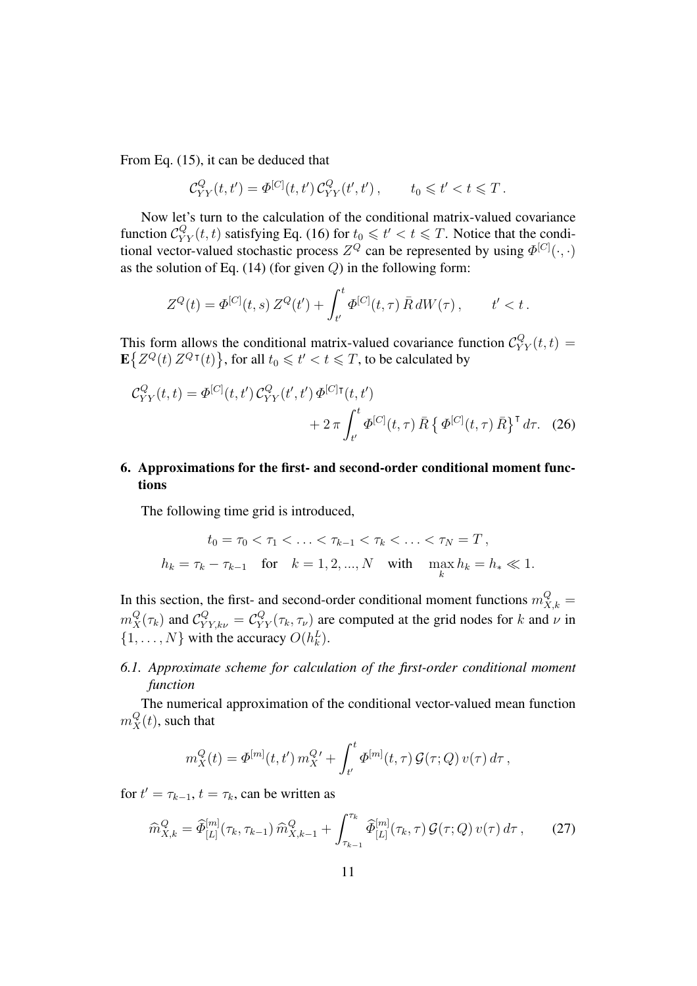From Eq. (15), it can be deduced that

$$
\mathcal{C}_{YY}^Q(t,t') = \Phi^{[C]}(t,t') \, \mathcal{C}_{YY}^Q(t',t') \,, \qquad t_0 \leqslant t' < t \leqslant T \,.
$$

Now let's turn to the calculation of the conditional matrix-valued covariance function  $\mathcal{C}_{YY}^Q(t,t)$  satisfying Eq. (16) for  $t_0 \leq t' < t \leq T$ . Notice that the conditional vector-valued stochastic process  $Z^Q$  can be represented by using  $\Phi^{[C]}(\cdot, \cdot)$ as the solution of Eq.  $(14)$  (for given  $Q$ ) in the following form:

$$
Z^{Q}(t) = \Phi^{[C]}(t,s) Z^{Q}(t') + \int_{t'}^{t} \Phi^{[C]}(t,\tau) \, \bar{R} \, dW(\tau) \,, \qquad t' < t \,.
$$

This form allows the conditional matrix-valued covariance function  $C_{YY}^Q(t,t) =$  $\mathbf{E}\left\{Z^Q(t) \, Z^Q \tau(t)\right\}$ , for all  $t_0 \leq t' < t \leq T$ , to be calculated by

$$
\mathcal{C}_{YY}^{Q}(t,t) = \Phi^{[C]}(t,t') \mathcal{C}_{YY}^{Q}(t',t') \Phi^{[C]\tau}(t,t') + 2 \pi \int_{t'}^{t} \Phi^{[C]}(t,\tau) \bar{R} \left\{ \Phi^{[C]}(t,\tau) \bar{R} \right\}^{\tau} d\tau.
$$
 (26)

# **6. Approximations for the first- and second-order conditional moment functions**

The following time grid is introduced,

$$
t_0 = \tau_0 < \tau_1 < \ldots < \tau_{k-1} < \tau_k < \ldots < \tau_N = T,
$$
\n
$$
h_k = \tau_k - \tau_{k-1} \quad \text{for} \quad k = 1, 2, \ldots, N \quad \text{with} \quad \max_k h_k = h_* \ll 1.
$$

In this section, the first- and second-order conditional moment functions  $m_{X,k}^Q =$  $m_X^Q(\tau_k)$  and  $C_{YY,k\nu}^Q = C_{YY}^Q(\tau_k, \tau_\nu)$  are computed at the grid nodes for k and  $\nu$  in  $\{1, \ldots, N\}$  with the accuracy  $O(h_k^L)$ .

# *6.1. Approximate scheme for calculation of the first-order conditional moment function*

The numerical approximation of the conditional vector-valued mean function  $m_X^Q(t)$ , such that

$$
m_X^Q(t) = \Phi^{[m]}(t, t') m_X^{Q'} + \int_{t'}^t \Phi^{[m]}(t, \tau) \mathcal{G}(\tau; Q) v(\tau) d\tau,
$$

for  $t' = \tau_{k-1}$ ,  $t = \tau_k$ , can be written as

$$
\widehat{m}_{X,k}^Q = \widehat{\Phi}_{[L]}^{[m]}(\tau_k, \tau_{k-1}) \widehat{m}_{X,k-1}^Q + \int_{\tau_{k-1}}^{\tau_k} \widehat{\Phi}_{[L]}^{[m]}(\tau_k, \tau) \mathcal{G}(\tau; Q) \, v(\tau) \, d\tau \,, \tag{27}
$$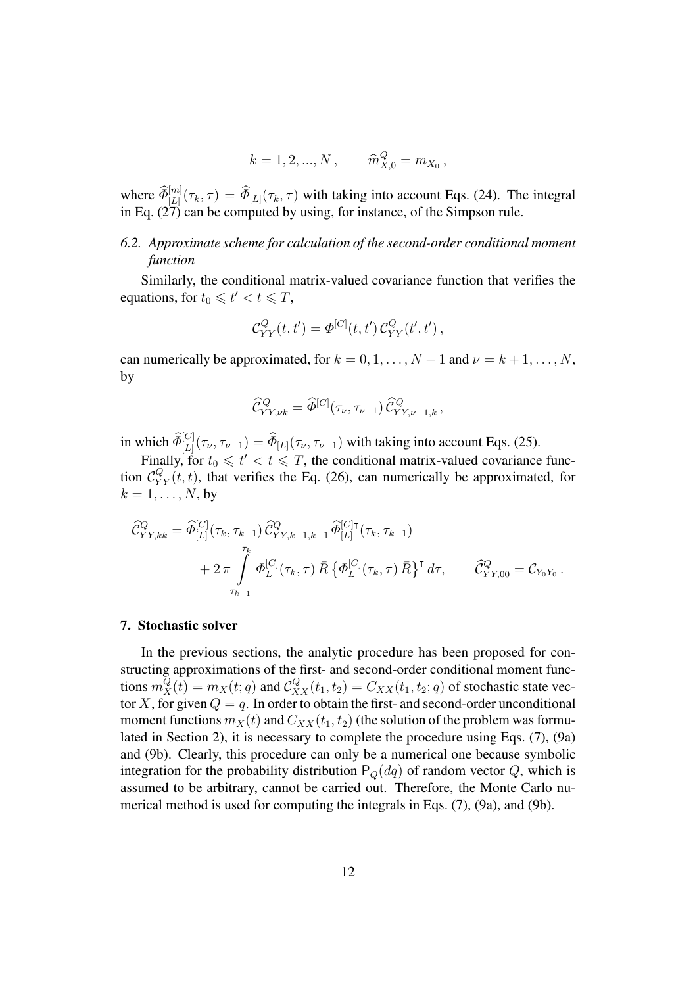$$
k = 1, 2, ..., N
$$
,  $\widehat{m}_{X,0}^Q = m_{X_0}$ ,

where  $\widehat{\Phi}_{[L]}^{[m]}(\tau_k, \tau) = \widehat{\Phi}_{[L]}(\tau_k, \tau)$  with taking into account Eqs. (24). The integral in Eq. (27) can be computed by using, for instance, of the Simpson rule.

# *6.2. Approximate scheme for calculation of the second-order conditional moment function*

Similarly, the conditional matrix-valued covariance function that verifies the equations, for  $t_0 \leq t' < t \leq T$ ,

$$
C_{YY}^Q(t, t') = \Phi^{[C]}(t, t') C_{YY}^Q(t', t'),
$$

can numerically be approximated, for  $k = 0, 1, \ldots, N - 1$  and  $\nu = k + 1, \ldots, N$ , by

$$
\widehat {\mathcal C}_{YY,\nu k}^{Q} = \widehat \varPhi^{[C]}(\tau_\nu,\tau_{\nu-1}) \, \widehat {\mathcal C}_{YY,\nu-1,k}^{Q} \, ,
$$

in which  $\widehat{\Phi}_{[L]}^{[C]}(\tau_{\nu}, \tau_{\nu-1}) = \widehat{\Phi}_{[L]}(\tau_{\nu}, \tau_{\nu-1})$  with taking into account Eqs. (25).

Finally, for  $t_0 \leq t' < t \leq T$ , the conditional matrix-valued covariance function  $C_{YY}^Q(t, t)$ , that verifies the Eq. (26), can numerically be approximated, for  $k = 1, \ldots, N$ , by

$$
\begin{split} \widehat{\mathcal{C}}_{YY, kk}^{Q} &= \widehat{\Phi}_{[L]}^{[C]}(\tau_k, \tau_{k-1}) \widehat{\mathcal{C}}_{YY, k-1, k-1}^{Q} \widehat{\Phi}_{[L]}^{[C]\intercal}(\tau_k, \tau_{k-1}) \\ &+ 2 \pi \int\limits_{\tau_{k-1}}^{\tau_k} \Phi_{L}^{[C]}(\tau_k, \tau) \, \bar{R} \left\{ \Phi_{L}^{[C]}(\tau_k, \tau) \, \bar{R} \right\}^{\intercal} d\tau, \qquad \widehat{\mathcal{C}}_{YY, 00}^{Q} &= \mathcal{C}_{Y_0 Y_0} \,. \end{split}
$$

## **7. Stochastic solver**

In the previous sections, the analytic procedure has been proposed for constructing approximations of the first- and second-order conditional moment functions  $m_X^Q(t) = m_X(t; q)$  and  $C_{XX}^Q(t_1, t_2) = C_{XX}(t_1, t_2; q)$  of stochastic state vector X, for given  $Q = q$ . In order to obtain the first- and second-order unconditional moment functions  $m_X(t)$  and  $C_{XX}(t_1, t_2)$  (the solution of the problem was formulated in Section 2), it is necessary to complete the procedure using Eqs. (7), (9a) and (9b). Clearly, this procedure can only be a numerical one because symbolic integration for the probability distribution  $P_Q(dq)$  of random vector Q, which is assumed to be arbitrary, cannot be carried out. Therefore, the Monte Carlo numerical method is used for computing the integrals in Eqs. (7), (9a), and (9b).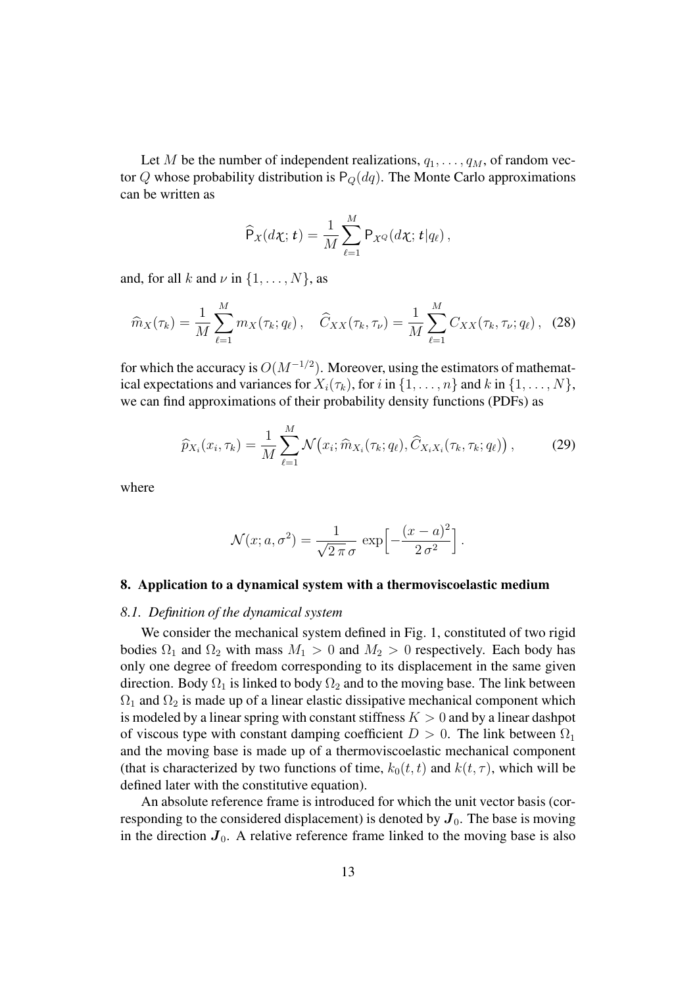Let M be the number of independent realizations,  $q_1, \ldots, q_M$ , of random vector Q whose probability distribution is  $P_Q(dq)$ . The Monte Carlo approximations can be written as

$$
\widehat{\mathsf{P}}_X(d\boldsymbol{\chi};\boldsymbol{t})=\frac{1}{M}\sum_{\ell=1}^M\mathsf{P}_{\boldsymbol{\chi}^Q}(d\boldsymbol{\chi};\boldsymbol{t}|q_{\ell}),
$$

and, for all k and  $\nu$  in  $\{1, \ldots, N\}$ , as

$$
\widehat{m}_X(\tau_k) = \frac{1}{M} \sum_{\ell=1}^M m_X(\tau_k; q_\ell), \quad \widehat{C}_{XX}(\tau_k, \tau_\nu) = \frac{1}{M} \sum_{\ell=1}^M C_{XX}(\tau_k, \tau_\nu; q_\ell), \quad (28)
$$

for which the accuracy is  $O(M^{-1/2})$ . Moreover, using the estimators of mathematical expectations and variances for  $X_i(\tau_k)$ , for i in  $\{1, \ldots, n\}$  and k in  $\{1, \ldots, N\}$ , we can find approximations of their probability density functions (PDFs) as

$$
\widehat{p}_{X_i}(x_i, \tau_k) = \frac{1}{M} \sum_{\ell=1}^M \mathcal{N}\big(x_i; \widehat{m}_{X_i}(\tau_k; q_\ell), \widehat{C}_{X_i X_i}(\tau_k, \tau_k; q_\ell)\big), \tag{29}
$$

where

$$
\mathcal{N}(x; a, \sigma^2) = \frac{1}{\sqrt{2\pi}\,\sigma} \, \exp\left[-\frac{(x-a)^2}{2\,\sigma^2}\right].
$$

#### **8. Application to a dynamical system with a thermoviscoelastic medium**

#### *8.1. Definition of the dynamical system*

We consider the mechanical system defined in Fig. 1, constituted of two rigid bodies  $\Omega_1$  and  $\Omega_2$  with mass  $M_1 > 0$  and  $M_2 > 0$  respectively. Each body has only one degree of freedom corresponding to its displacement in the same given direction. Body  $\Omega_1$  is linked to body  $\Omega_2$  and to the moving base. The link between  $\Omega_1$  and  $\Omega_2$  is made up of a linear elastic dissipative mechanical component which is modeled by a linear spring with constant stiffness  $K > 0$  and by a linear dashpot of viscous type with constant damping coefficient  $D > 0$ . The link between  $\Omega_1$ and the moving base is made up of a thermoviscoelastic mechanical component (that is characterized by two functions of time,  $k_0(t, t)$  and  $k(t, \tau)$ , which will be defined later with the constitutive equation).

An absolute reference frame is introduced for which the unit vector basis (corresponding to the considered displacement) is denoted by  $J_0$ . The base is moving in the direction  $J_0$ . A relative reference frame linked to the moving base is also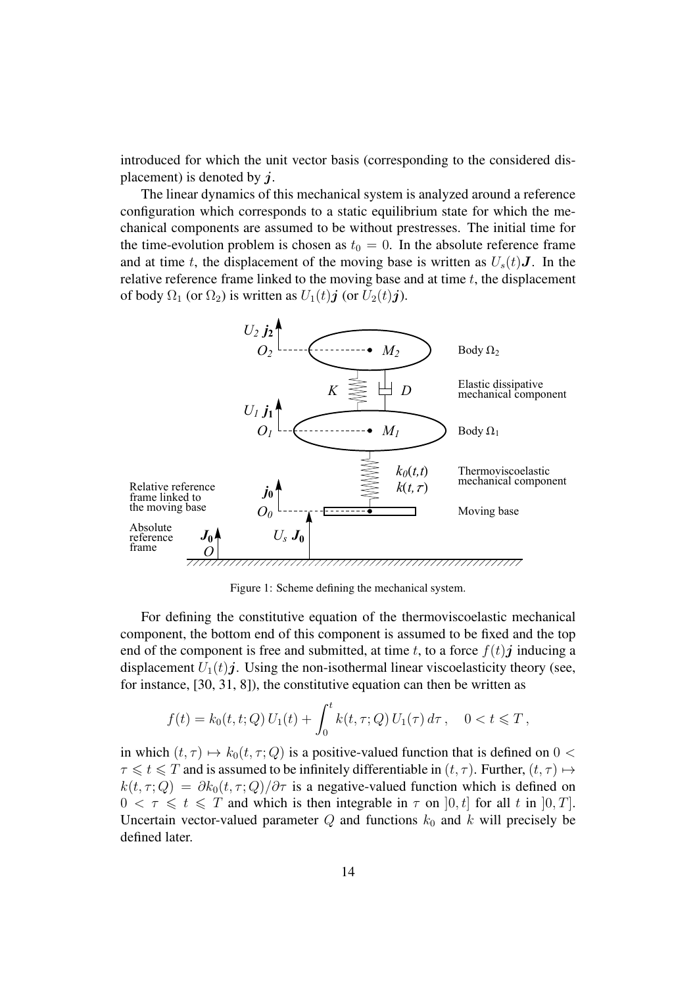introduced for which the unit vector basis (corresponding to the considered displacement) is denoted by  $\dot{\mathbf{i}}$ .

The linear dynamics of this mechanical system is analyzed around a reference configuration which corresponds to a static equilibrium state for which the mechanical components are assumed to be without prestresses. The initial time for the time-evolution problem is chosen as  $t_0 = 0$ . In the absolute reference frame and at time t, the displacement of the moving base is written as  $U_s(t)$ **J**. In the relative reference frame linked to the moving base and at time  $t$ , the displacement of body  $\Omega_1$  (or  $\Omega_2$ ) is written as  $U_1(t)$ **j** (or  $U_2(t)$ **j**).



Figure 1: Scheme defining the mechanical system.

For defining the constitutive equation of the thermoviscoelastic mechanical component, the bottom end of this component is assumed to be fixed and the top end of the component is free and submitted, at time t, to a force  $f(t)$  inducing a displacement  $U_1(t)$ j. Using the non-isothermal linear viscoelasticity theory (see, for instance, [30, 31, 8]), the constitutive equation can then be written as

$$
f(t) = k_0(t, t; Q) U_1(t) + \int_0^t k(t, \tau; Q) U_1(\tau) d\tau, \quad 0 < t \leq T,
$$

in which  $(t, \tau) \mapsto k_0(t, \tau; Q)$  is a positive-valued function that is defined on  $0 <$  $\tau \leq t \leq T$  and is assumed to be infinitely differentiable in  $(t, \tau)$ . Further,  $(t, \tau) \mapsto$  $k(t, \tau; Q) = \partial k_0(t, \tau; Q)/\partial \tau$  is a negative-valued function which is defined on  $0 < \tau \leq t \leq T$  and which is then integrable in  $\tau$  on  $[0, t]$  for all t in  $[0, T]$ . Uncertain vector-valued parameter  $Q$  and functions  $k_0$  and k will precisely be defined later.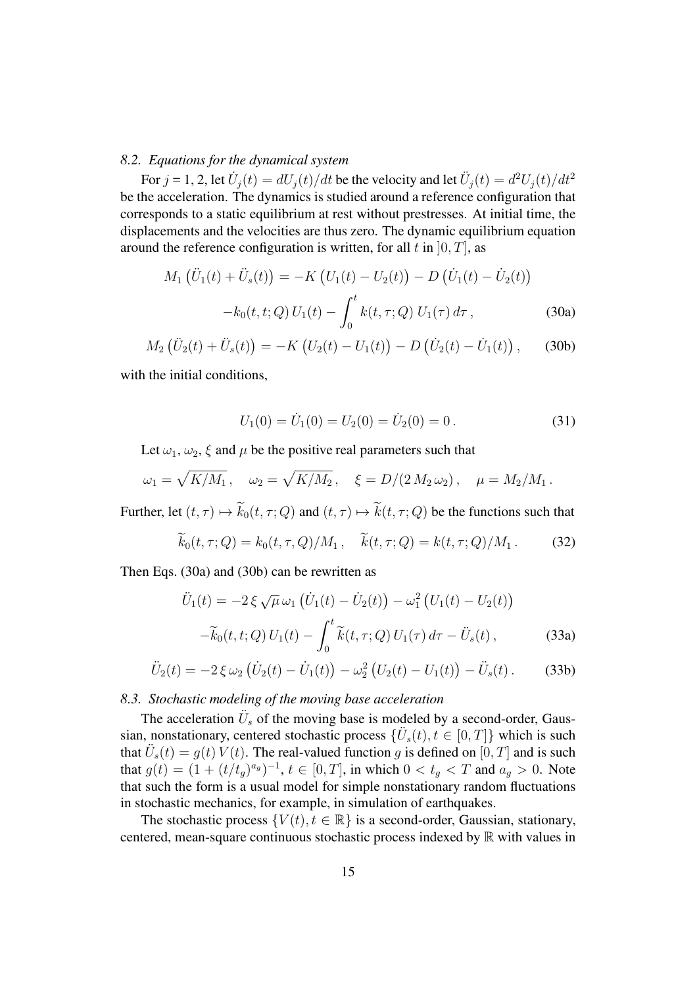## *8.2. Equations for the dynamical system*

For  $j = 1, 2$ , let  $\dot{U}_j(t) = dU_j(t)/dt$  be the velocity and let  $\ddot{U}_j(t) = d^2U_j(t)/dt^2$ be the acceleration. The dynamics is studied around a reference configuration that corresponds to a static equilibrium at rest without prestresses. At initial time, the displacements and the velocities are thus zero. The dynamic equilibrium equation around the reference configuration is written, for all t in  $[0, T]$ , as

$$
M_1(\ddot{U}_1(t) + \ddot{U}_s(t)) = -K(U_1(t) - U_2(t)) - D(\dot{U}_1(t) - \dot{U}_2(t))
$$

$$
-k_0(t, t; Q)U_1(t) - \int_0^t k(t, \tau; Q)U_1(\tau) d\tau,
$$
(30a)

$$
M_2(\ddot{U}_2(t) + \ddot{U}_s(t)) = -K(U_2(t) - U_1(t)) - D(\dot{U}_2(t) - \dot{U}_1(t)), \quad (30b)
$$

with the initial conditions,

$$
U_1(0) = \dot{U}_1(0) = U_2(0) = \dot{U}_2(0) = 0.
$$
 (31)

Let  $\omega_1, \omega_2, \xi$  and  $\mu$  be the positive real parameters such that

$$
\omega_1 = \sqrt{K/M_1}
$$
,  $\omega_2 = \sqrt{K/M_2}$ ,  $\xi = D/(2 M_2 \omega_2)$ ,  $\mu = M_2/M_1$ .

Further, let  $(t, \tau) \mapsto \widetilde{k}_0(t, \tau; Q)$  and  $(t, \tau) \mapsto \widetilde{k}(t, \tau; Q)$  be the functions such that

$$
k_0(t, \tau; Q) = k_0(t, \tau, Q)/M_1, \quad k(t, \tau; Q) = k(t, \tau; Q)/M_1.
$$
 (32)

Then Eqs. (30a) and (30b) can be rewritten as

$$
\ddot{U}_1(t) = -2 \xi \sqrt{\mu} \omega_1 \left( \dot{U}_1(t) - \dot{U}_2(t) \right) - \omega_1^2 \left( U_1(t) - U_2(t) \right) \n- \widetilde{k}_0(t, t; Q) U_1(t) - \int_0^t \widetilde{k}(t, \tau; Q) U_1(\tau) d\tau - \ddot{U}_s(t) ,
$$
\n(33a)

$$
\ddot{U}_2(t) = -2\xi \omega_2 (\dot{U}_2(t) - \dot{U}_1(t)) - \omega_2^2 (U_2(t) - U_1(t)) - \ddot{U}_s(t).
$$
 (33b)

## *8.3. Stochastic modeling of the moving base acceleration*

The acceleration  $\ddot{U}_s$  of the moving base is modeled by a second-order, Gaussian, nonstationary, centered stochastic process  $\{\ddot{U}_s(t), t \in [0, T]\}$  which is such that  $\ddot{U}_s(t) = g(t) V(t)$ . The real-valued function g is defined on  $[0, T]$  and is such that  $g(t) = (1 + (t/t_g)^{a_g})^{-1}$ ,  $t \in [0, T]$ , in which  $0 < t_g < T$  and  $a_g > 0$ . Note that such the form is a usual model for simple nonstationary random fluctuations in stochastic mechanics, for example, in simulation of earthquakes.

The stochastic process  $\{V(t), t \in \mathbb{R}\}\$  is a second-order, Gaussian, stationary, centered, mean-square continuous stochastic process indexed by  $\mathbb R$  with values in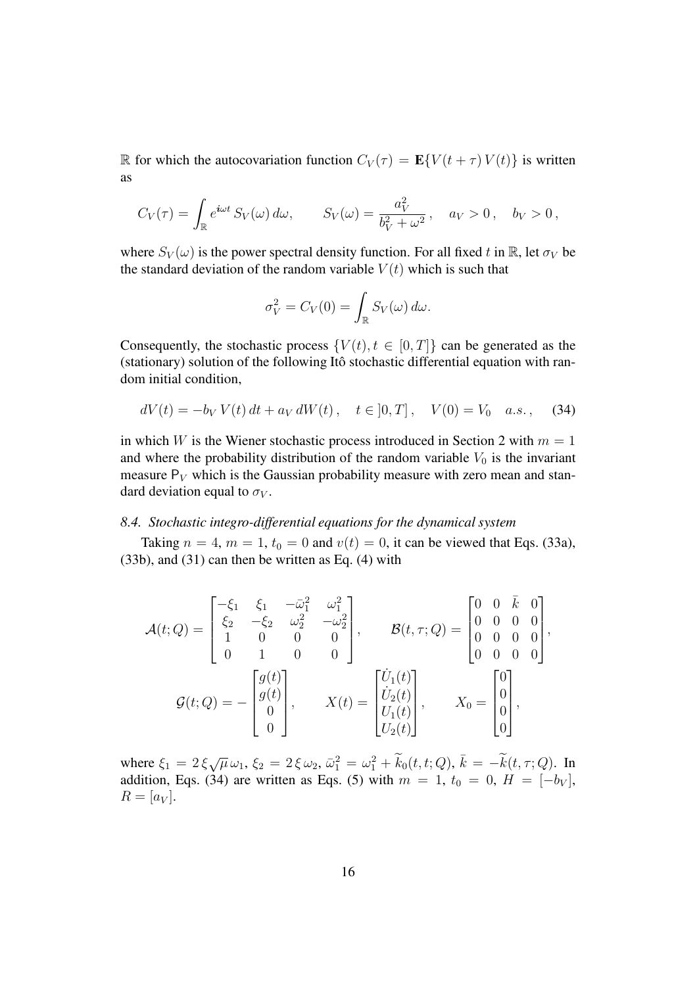R for which the autocovariation function  $C_V(\tau) = \mathbf{E}\{V(t+\tau) V(t)\}\$ is written as

$$
C_V(\tau) = \int_{\mathbb{R}} e^{i\omega t} S_V(\omega) d\omega, \qquad S_V(\omega) = \frac{a_V^2}{b_V^2 + \omega^2}, \quad a_V > 0, \quad b_V > 0,
$$

where  $S_V(\omega)$  is the power spectral density function. For all fixed t in R, let  $\sigma_V$  be the standard deviation of the random variable  $V(t)$  which is such that

$$
\sigma_V^2 = C_V(0) = \int_{\mathbb{R}} S_V(\omega) d\omega.
$$

Consequently, the stochastic process  $\{V(t), t \in [0, T]\}$  can be generated as the (stationary) solution of the following Itô stochastic differential equation with random initial condition,

$$
dV(t) = -b_V V(t) dt + a_V dW(t), \quad t \in [0, T], \quad V(0) = V_0 \quad a.s., \quad (34)
$$

in which W is the Wiener stochastic process introduced in Section 2 with  $m = 1$ and where the probability distribution of the random variable  $V_0$  is the invariant measure  $P_V$  which is the Gaussian probability measure with zero mean and standard deviation equal to  $\sigma_V$ .

## *8.4. Stochastic integro-differential equations for the dynamical system*

Taking  $n = 4$ ,  $m = 1$ ,  $t_0 = 0$  and  $v(t) = 0$ , it can be viewed that Eqs. (33a), (33b), and (31) can then be written as Eq. (4) with

$$
\mathcal{A}(t;Q) = \begin{bmatrix} -\xi_1 & \xi_1 & -\bar{\omega}_1^2 & \omega_1^2 \\ \xi_2 & -\xi_2 & \omega_2^2 & -\omega_2^2 \\ 1 & 0 & 0 & 0 \\ 0 & 1 & 0 & 0 \end{bmatrix}, \qquad \mathcal{B}(t,\tau;Q) = \begin{bmatrix} 0 & 0 & \bar{k} & 0 \\ 0 & 0 & 0 & 0 \\ 0 & 0 & 0 & 0 \\ 0 & 0 & 0 & 0 \end{bmatrix},
$$

$$
\mathcal{G}(t;Q) = -\begin{bmatrix} g(t) \\ g(t) \\ 0 \\ 0 \end{bmatrix}, \qquad X(t) = \begin{bmatrix} \dot{U}_1(t) \\ \dot{U}_2(t) \\ U_1(t) \\ U_2(t) \end{bmatrix}, \qquad X_0 = \begin{bmatrix} 0 \\ 0 \\ 0 \\ 0 \\ 0 \end{bmatrix},
$$

where  $\xi_1 = 2 \xi \sqrt{\mu} \omega_1$ ,  $\xi_2 = 2 \xi \omega_2$ ,  $\bar{\omega}_1^2 = \omega_1^2 + \tilde{k}_0(t, t; Q)$ ,  $\bar{k} = -\tilde{k}(t, \tau; Q)$ . In addition, Eqs. (34) are written as Eqs. (5) with  $m = 1$ ,  $t_0 = 0$ ,  $H = [-b_V]$ ,  $R = [a_V].$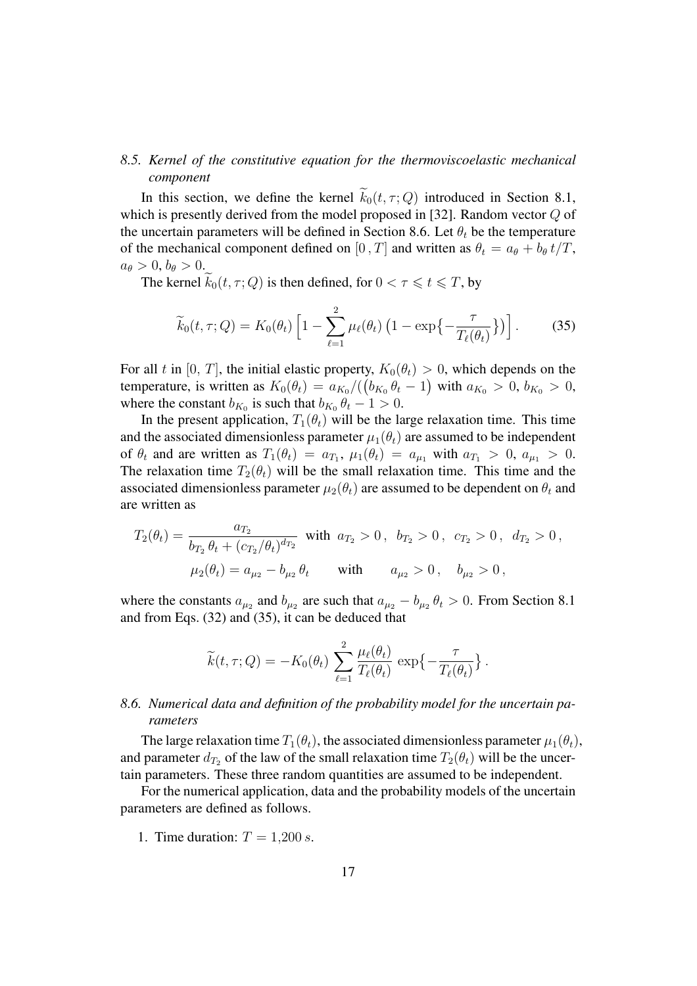# *8.5. Kernel of the constitutive equation for the thermoviscoelastic mechanical component*

In this section, we define the kernel  $\widetilde{k}_0(t, \tau; Q)$  introduced in Section 8.1, which is presently derived from the model proposed in [32]. Random vector  $Q$  of the uncertain parameters will be defined in Section 8.6. Let  $\theta_t$  be the temperature of the mechanical component defined on [0, T] and written as  $\theta_t = a_\theta + b_\theta t/T$ ,  $a_{\theta} > 0, b_{\theta} > 0.$ 

The kernel  $k_0(t, \tau; Q)$  is then defined, for  $0 < \tau \leq t \leq T$ , by

$$
\widetilde{k}_0(t,\tau;Q) = K_0(\theta_t) \left[ 1 - \sum_{\ell=1}^2 \mu_\ell(\theta_t) \left( 1 - \exp\left\{-\frac{\tau}{T_\ell(\theta_t)}\right\} \right) \right].
$$
 (35)

For all t in [0, T], the initial elastic property,  $K_0(\theta_t) > 0$ , which depends on the temperature, is written as  $K_0(\theta_t) = a_{K_0}/((b_{K_0}\theta_t - 1)$  with  $a_{K_0} > 0, b_{K_0} > 0$ , where the constant  $b_{K_0}$  is such that  $b_{K_0} \theta_t - 1 > 0$ .

In the present application,  $T_1(\theta_t)$  will be the large relaxation time. This time and the associated dimensionless parameter  $\mu_1(\theta_t)$  are assumed to be independent of  $\theta_t$  and are written as  $T_1(\theta_t) = a_{T_1}$ ,  $\mu_1(\theta_t) = a_{\mu_1}$  with  $a_{T_1} > 0$ ,  $a_{\mu_1} > 0$ . The relaxation time  $T_2(\theta_t)$  will be the small relaxation time. This time and the associated dimensionless parameter  $\mu_2(\theta_t)$  are assumed to be dependent on  $\theta_t$  and are written as

$$
T_2(\theta_t) = \frac{a_{T_2}}{b_{T_2} \theta_t + (c_{T_2}/\theta_t)^{d_{T_2}}} \text{ with } a_{T_2} > 0, b_{T_2} > 0, c_{T_2} > 0, d_{T_2} > 0,
$$
  

$$
\mu_2(\theta_t) = a_{\mu_2} - b_{\mu_2} \theta_t \text{ with } a_{\mu_2} > 0, b_{\mu_2} > 0,
$$

where the constants  $a_{\mu_2}$  and  $b_{\mu_2}$  are such that  $a_{\mu_2} - b_{\mu_2} \theta_t > 0$ . From Section 8.1 and from Eqs. (32) and (35), it can be deduced that

$$
\widetilde{k}(t,\tau;Q) = -K_0(\theta_t) \sum_{\ell=1}^2 \frac{\mu_\ell(\theta_t)}{T_\ell(\theta_t)} \exp\left\{-\frac{\tau}{T_\ell(\theta_t)}\right\}.
$$

# *8.6. Numerical data and definition of the probability model for the uncertain parameters*

The large relaxation time  $T_1(\theta_t)$ , the associated dimensionless parameter  $\mu_1(\theta_t)$ , and parameter  $d_{T_2}$  of the law of the small relaxation time  $T_2(\theta_t)$  will be the uncertain parameters. These three random quantities are assumed to be independent.

For the numerical application, data and the probability models of the uncertain parameters are defined as follows.

1. Time duration:  $T = 1,200 s$ .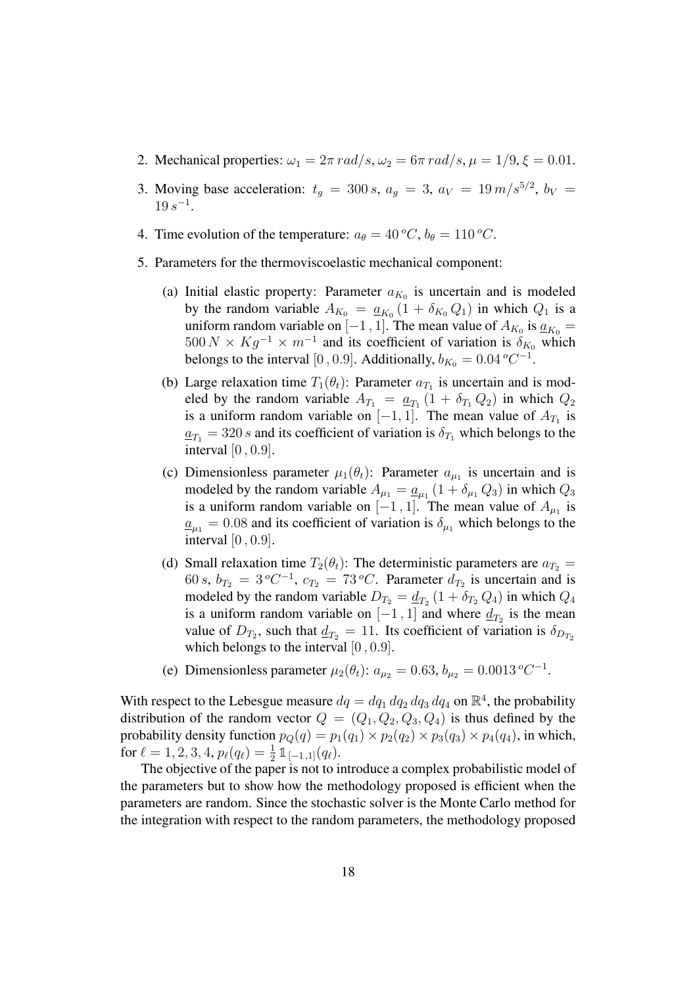- 2. Mechanical properties:  $\omega_1 = 2\pi \text{ rad/s}, \omega_2 = 6\pi \text{ rad/s}, \mu = 1/9, \xi = 0.01$ .
- 3. Moving base acceleration:  $t_g = 300 s$ ,  $a_g = 3$ ,  $a_V = 19 m/s^{5/2}$ ,  $b_V =$  $19 s^{-1}$ .
- 4. Time evolution of the temperature:  $a_{\theta} = 40 \degree C$ ,  $b_{\theta} = 110 \degree C$ .
- 5. Parameters for the thermoviscoelastic mechanical component:
	- (a) Initial elastic property: Parameter  $a_{K_0}$  is uncertain and is modeled by the random variable  $A_{K_0} = \underline{a}_{K_0} (1 + \delta_{K_0} Q_1)$  in which  $Q_1$  is a uniform random variable on [-1, 1]. The mean value of  $A_{K_0}$  is  $\underline{a}_{K_0} =$  $500 N \times Kg^{-1} \times m^{-1}$  and its coefficient of variation is  $\delta_{K_0}$  which belongs to the interval [0, 0.9]. Additionally,  $b_{K_0} = 0.04 \degree C^{-1}$ .
	- (b) Large relaxation time  $T_1(\theta_t)$ : Parameter  $a_{T_1}$  is uncertain and is modeled by the random variable  $A_{T_1} = \underline{a}_{T_1} (1 + \delta_{T_1} Q_2)$  in which  $Q_2$ is a uniform random variable on  $[-1, 1]$ . The mean value of  $A_{T_1}$  is  $a_{T_1} = 320 s$  and its coefficient of variation is  $\delta_{T_1}$  which belongs to the interval [0 , 0.9].
	- (c) Dimensionless parameter  $\mu_1(\theta_t)$ : Parameter  $a_{\mu_1}$  is uncertain and is modeled by the random variable  $A_{\mu_1} = \underline{a}_{\mu_1} (1 + \delta_{\mu_1} Q_3)$  in which  $Q_3$ is a uniform random variable on  $[-1, 1]$ . The mean value of  $A_{\mu_1}$  is  $\underline{a}_{\mu_1} = 0.08$  and its coefficient of variation is  $\delta_{\mu_1}$  which belongs to the interval [0 , 0.9].
	- (d) Small relaxation time  $T_2(\theta_t)$ : The deterministic parameters are  $a_{T_2} =$ 60 s,  $b_{T_2} = 3^{\circ}C^{-1}$ ,  $c_{T_2} = 73^{\circ}C$ . Parameter  $d_{T_2}$  is uncertain and is modeled by the random variable  $D_{T_2} = \underline{d}_{T_2} (1 + \delta_{T_2} Q_4)$  in which  $Q_4$ is a uniform random variable on  $[-1, 1]$  and where  $\underline{d}_{T_2}$  is the mean value of  $D_{T_2}$ , such that  $\underline{d}_{T_2} = 11$ . Its coefficient of variation is  $\delta_{D_{T_2}}$ which belongs to the interval  $[0, 0.9]$ .
	- (e) Dimensionless parameter  $\mu_2(\theta_t)$ :  $a_{\mu_2} = 0.63$ ,  $b_{\mu_2} = 0.0013 \degree C^{-1}$ .

With respect to the Lebesgue measure  $dq = dq_1 dq_2 dq_3 dq_4$  on  $\mathbb{R}^4$ , the probability distribution of the random vector  $Q = (Q_1, Q_2, Q_3, Q_4)$  is thus defined by the probability density function  $p_O(q) = p_1(q_1) \times p_2(q_2) \times p_3(q_3) \times p_4(q_4)$ , in which, for  $\ell = 1, 2, 3, 4, p_{\ell}(q_{\ell}) = \frac{1}{2} \mathbb{1}_{[-1,1]}(q_{\ell}).$ 

The objective of the paper is not to introduce a complex probabilistic model of the parameters but to show how the methodology proposed is efficient when the parameters are random. Since the stochastic solver is the Monte Carlo method for the integration with respect to the random parameters, the methodology proposed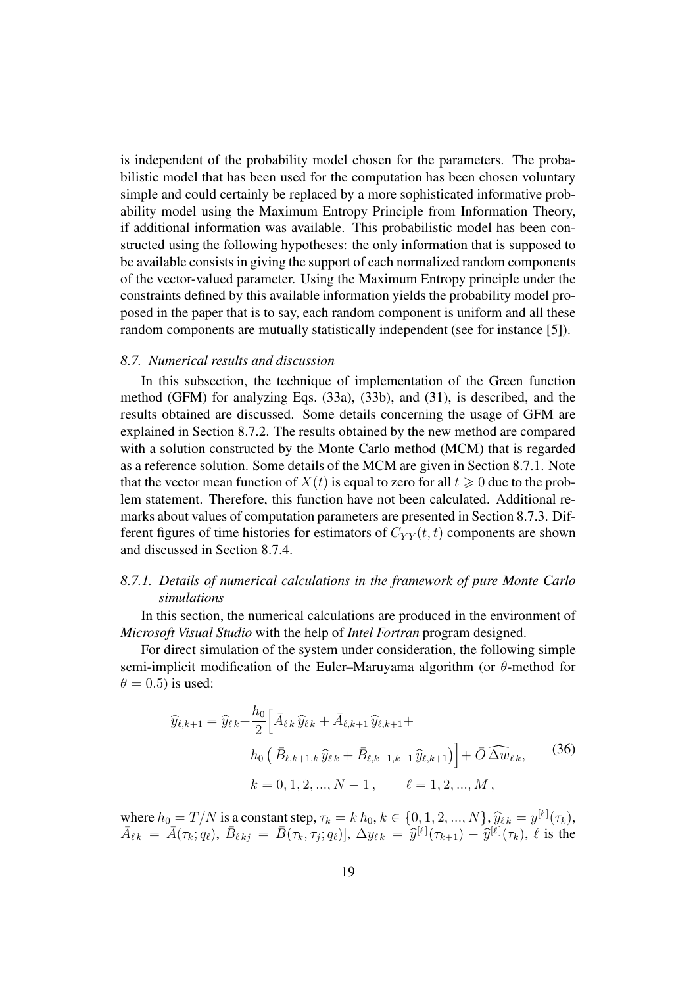is independent of the probability model chosen for the parameters. The probabilistic model that has been used for the computation has been chosen voluntary simple and could certainly be replaced by a more sophisticated informative probability model using the Maximum Entropy Principle from Information Theory, if additional information was available. This probabilistic model has been constructed using the following hypotheses: the only information that is supposed to be available consists in giving the support of each normalized random components of the vector-valued parameter. Using the Maximum Entropy principle under the constraints defined by this available information yields the probability model proposed in the paper that is to say, each random component is uniform and all these random components are mutually statistically independent (see for instance [5]).

#### *8.7. Numerical results and discussion*

In this subsection, the technique of implementation of the Green function method (GFM) for analyzing Eqs. (33a), (33b), and (31), is described, and the results obtained are discussed. Some details concerning the usage of GFM are explained in Section 8.7.2. The results obtained by the new method are compared with a solution constructed by the Monte Carlo method (MCM) that is regarded as a reference solution. Some details of the MCM are given in Section 8.7.1. Note that the vector mean function of  $X(t)$  is equal to zero for all  $t \geq 0$  due to the problem statement. Therefore, this function have not been calculated. Additional remarks about values of computation parameters are presented in Section 8.7.3. Different figures of time histories for estimators of  $C_{YY}(t, t)$  components are shown and discussed in Section 8.7.4.

## *8.7.1. Details of numerical calculations in the framework of pure Monte Carlo simulations*

In this section, the numerical calculations are produced in the environment of *Microsoft Visual Studio* with the help of *Intel Fortran* program designed.

For direct simulation of the system under consideration, the following simple semi-implicit modification of the Euler–Maruyama algorithm (or θ-method for  $\theta = 0.5$ ) is used:

$$
\widehat{y}_{\ell,k+1} = \widehat{y}_{\ell k} + \frac{h_0}{2} \Big[ \bar{A}_{\ell k} \widehat{y}_{\ell k} + \bar{A}_{\ell,k+1} \widehat{y}_{\ell,k+1} +
$$
  
\n
$$
h_0 \left( \bar{B}_{\ell,k+1,k} \widehat{y}_{\ell k} + \bar{B}_{\ell,k+1,k+1} \widehat{y}_{\ell,k+1} \right) \Big] + \bar{O} \widehat{\Delta w}_{\ell k},
$$
  
\n
$$
k = 0, 1, 2, ..., N - 1, \qquad \ell = 1, 2, ..., M,
$$
\n(36)

where  $h_0 = T/N$  is a constant step,  $\tau_k = k h_0, k \in \{0, 1, 2, ..., N\}$ ,  $\widehat{y}_{\ell k} = y^{[\ell]}(\tau_k)$ ,  $\bar{A}_{\ell k} = \bar{A}(\tau_k; q_\ell), \ \bar{B}_{\ell k j} = \bar{B}(\tau_k, \tau_j; q_\ell)], \ \Delta y_{\ell k} = \hat{y}^{[\ell]}(\tau_{k+1}) - \hat{y}^{[\ell]}(\tau_k), \ \ell \text{ is the }$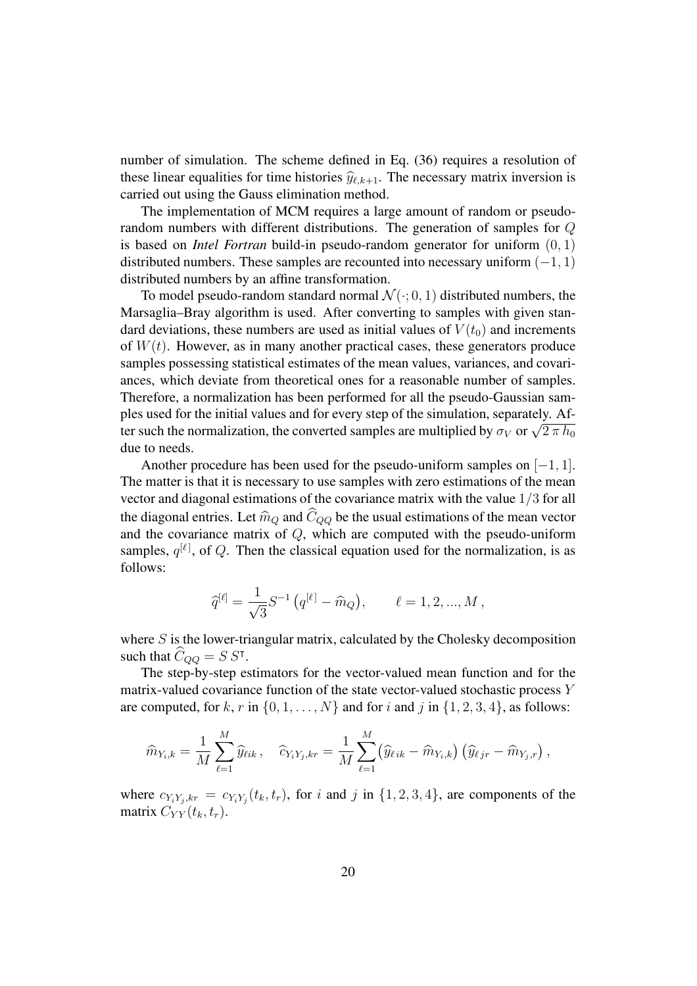number of simulation. The scheme defined in Eq. (36) requires a resolution of these linear equalities for time histories  $\hat{y}_{\ell,k+1}$ . The necessary matrix inversion is carried out using the Gauss elimination method.

The implementation of MCM requires a large amount of random or pseudorandom numbers with different distributions. The generation of samples for Q is based on *Intel Fortran* build-in pseudo-random generator for uniform (0, 1) distributed numbers. These samples are recounted into necessary uniform  $(-1, 1)$ distributed numbers by an affine transformation.

To model pseudo-random standard normal  $\mathcal{N}(\cdot; 0, 1)$  distributed numbers, the Marsaglia–Bray algorithm is used. After converting to samples with given standard deviations, these numbers are used as initial values of  $V(t_0)$  and increments of  $W(t)$ . However, as in many another practical cases, these generators produce samples possessing statistical estimates of the mean values, variances, and covariances, which deviate from theoretical ones for a reasonable number of samples. Therefore, a normalization has been performed for all the pseudo-Gaussian samples used for the initial values and for every step of the simulation, separately. After such the normalization, the converted samples are multiplied by  $\sigma_V$  or  $\sqrt{2\pi h_0}$ due to needs.

Another procedure has been used for the pseudo-uniform samples on  $[-1, 1]$ . The matter is that it is necessary to use samples with zero estimations of the mean vector and diagonal estimations of the covariance matrix with the value 1/3 for all the diagonal entries. Let  $\hat{m}_Q$  and  $\hat{C}_{QQ}$  be the usual estimations of the mean vector and the covariance matrix of  $Q$ , which are computed with the pseudo-uniform samples,  $q^{[\ell]}$ , of Q. Then the classical equation used for the normalization, is as follows:

$$
\hat{q}^{[\ell]} = \frac{1}{\sqrt{3}} S^{-1} (q^{[\ell]} - \hat{m}_Q), \qquad \ell = 1, 2, ..., M,
$$

where  $S$  is the lower-triangular matrix, calculated by the Cholesky decomposition such that  $\hat{C}_{QQ} = S S^{\dagger}$ .

The step-by-step estimators for the vector-valued mean function and for the matrix-valued covariance function of the state vector-valued stochastic process Y are computed, for k, r in  $\{0, 1, \ldots, N\}$  and for i and j in  $\{1, 2, 3, 4\}$ , as follows:

$$
\widehat{m}_{Y_i,k} = \frac{1}{M} \sum_{\ell=1}^M \widehat{y}_{\ell ik} \, , \quad \widehat{c}_{Y_i Y_j,kr} = \frac{1}{M} \sum_{\ell=1}^M \big( \widehat{y}_{\ell ik} - \widehat{m}_{Y_i,k} \big) \, \big( \widehat{y}_{\ell jr} - \widehat{m}_{Y_j,r} \big) \, ,
$$

where  $c_{Y_i Y_j,kr} = c_{Y_i Y_j}(t_k, t_r)$ , for i and j in  $\{1, 2, 3, 4\}$ , are components of the matrix  $C_{YY}(t_k, t_r)$ .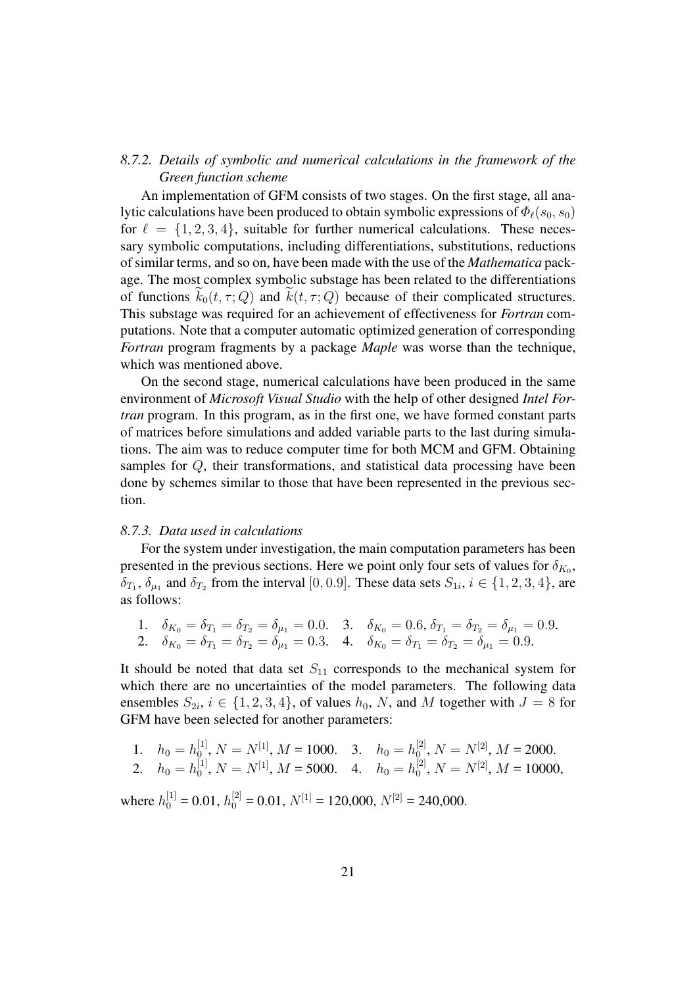# *8.7.2. Details of symbolic and numerical calculations in the framework of the Green function scheme*

An implementation of GFM consists of two stages. On the first stage, all analytic calculations have been produced to obtain symbolic expressions of  $\Phi_{\ell}(s_0, s_0)$ for  $\ell = \{1, 2, 3, 4\}$ , suitable for further numerical calculations. These necessary symbolic computations, including differentiations, substitutions, reductions of similar terms, and so on, have been made with the use of the *Mathematica* package. The most complex symbolic substage has been related to the differentiations of functions  $k_0(t, \tau; Q)$  and  $k(t, \tau; Q)$  because of their complicated structures. This substage was required for an achievement of effectiveness for *Fortran* computations. Note that a computer automatic optimized generation of corresponding *Fortran* program fragments by a package *Maple* was worse than the technique, which was mentioned above.

On the second stage, numerical calculations have been produced in the same environment of *Microsoft Visual Studio* with the help of other designed *Intel Fortran* program. In this program, as in the first one, we have formed constant parts of matrices before simulations and added variable parts to the last during simulations. The aim was to reduce computer time for both MCM and GFM. Obtaining samples for Q, their transformations, and statistical data processing have been done by schemes similar to those that have been represented in the previous section.

#### *8.7.3. Data used in calculations*

For the system under investigation, the main computation parameters has been presented in the previous sections. Here we point only four sets of values for  $\delta_{K_0}$ ,  $\delta_{T_1}, \delta_{\mu_1}$  and  $\delta_{T_2}$  from the interval [0, 0.9]. These data sets  $S_{1i}$ ,  $i \in \{1, 2, 3, 4\}$ , are as follows:

1. 
$$
\delta_{K_0} = \delta_{T_1} = \delta_{T_2} = \delta_{\mu_1} = 0.0
$$
. 3.  $\delta_{K_0} = 0.6, \delta_{T_1} = \delta_{T_2} = \delta_{\mu_1} = 0.9$ .  
2.  $\delta_{K_0} = \delta_{T_1} = \delta_{T_2} = \delta_{\mu_1} = 0.3$ . 4.  $\delta_{K_0} = \delta_{T_1} = \delta_{T_2} = \delta_{\mu_1} = 0.9$ .

It should be noted that data set  $S_{11}$  corresponds to the mechanical system for which there are no uncertainties of the model parameters. The following data ensembles  $S_{2i}$ ,  $i \in \{1, 2, 3, 4\}$ , of values  $h_0$ , N, and M together with  $J = 8$  for GFM have been selected for another parameters:

1. 
$$
h_0 = h_0^{[1]}, N = N^{[1]}, M = 1000.
$$
 3.  $h_0 = h_0^{[2]}, N = N^{[2]}, M = 2000.$   
2.  $h_0 = h_0^{[1]}, N = N^{[1]}, M = 5000.$  4.  $h_0 = h_0^{[2]}, N = N^{[2]}, M = 10000,$ 

where  $h_0^{[1]} = 0.01$ ,  $h_0^{[2]} = 0.01$ ,  $N^{[1]} = 120,000$ ,  $N^{[2]} = 240,000$ .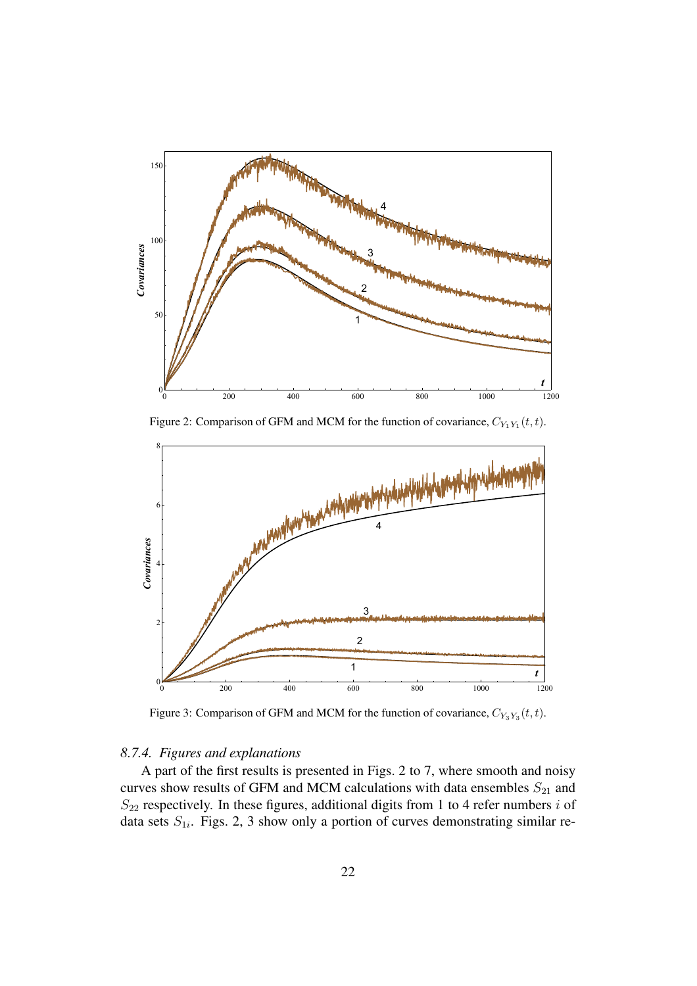

Figure 2: Comparison of GFM and MCM for the function of covariance,  $C_{Y_1Y_1}(t,t)$ .



Figure 3: Comparison of GFM and MCM for the function of covariance,  $C_{Y_3Y_3}(t,t)$ .

## *8.7.4. Figures and explanations*

A part of the first results is presented in Figs. 2 to 7, where smooth and noisy curves show results of GFM and MCM calculations with data ensembles  $S_{21}$  and  $S_{22}$  respectively. In these figures, additional digits from 1 to 4 refer numbers i of data sets  $S_{1i}$ . Figs. 2, 3 show only a portion of curves demonstrating similar re-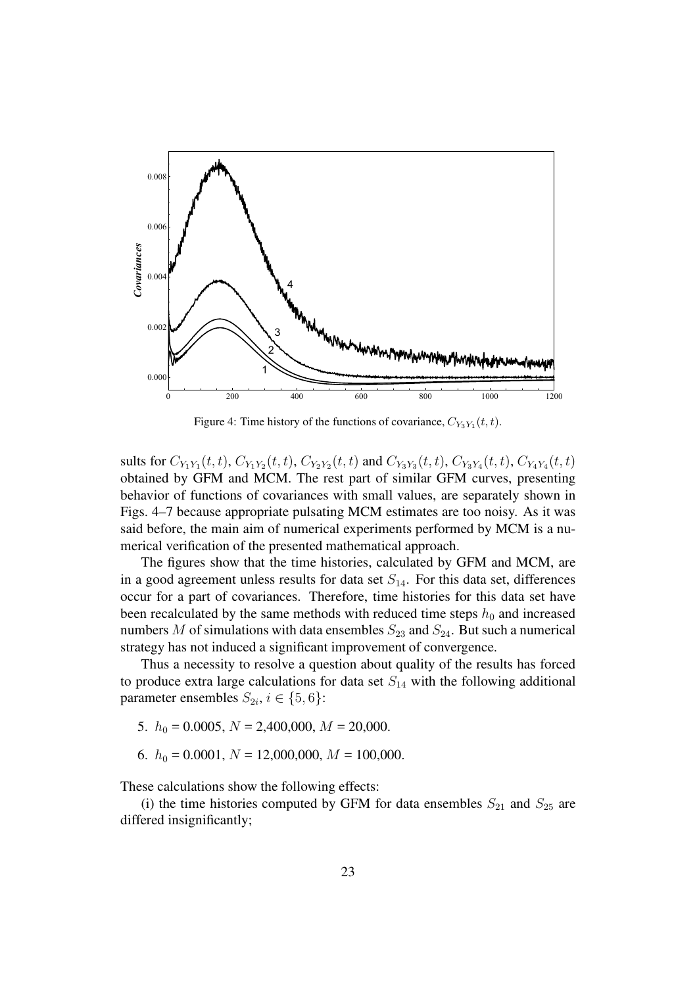

Figure 4: Time history of the functions of covariance,  $C_{Y_3Y_1}(t,t)$ .

sults for  $C_{Y_1Y_1}(t,t)$ ,  $C_{Y_1Y_2}(t,t)$ ,  $C_{Y_2Y_2}(t,t)$  and  $C_{Y_3Y_3}(t,t)$ ,  $C_{Y_3Y_4}(t,t)$ ,  $C_{Y_4Y_4}(t,t)$ obtained by GFM and MCM. The rest part of similar GFM curves, presenting behavior of functions of covariances with small values, are separately shown in Figs. 4–7 because appropriate pulsating MCM estimates are too noisy. As it was said before, the main aim of numerical experiments performed by MCM is a numerical verification of the presented mathematical approach.

The figures show that the time histories, calculated by GFM and MCM, are in a good agreement unless results for data set  $S_{14}$ . For this data set, differences occur for a part of covariances. Therefore, time histories for this data set have been recalculated by the same methods with reduced time steps  $h_0$  and increased numbers M of simulations with data ensembles  $S_{23}$  and  $S_{24}$ . But such a numerical strategy has not induced a significant improvement of convergence.

Thus a necessity to resolve a question about quality of the results has forced to produce extra large calculations for data set  $S_{14}$  with the following additional parameter ensembles  $S_{2i}$ ,  $i \in \{5, 6\}$ :

- 5.  $h_0 = 0.0005$ ,  $N = 2,400,000$ ,  $M = 20,000$ .
- 6.  $h_0 = 0.0001$ ,  $N = 12,000,000$ ,  $M = 100,000$ .

These calculations show the following effects:

(i) the time histories computed by GFM for data ensembles  $S_{21}$  and  $S_{25}$  are differed insignificantly;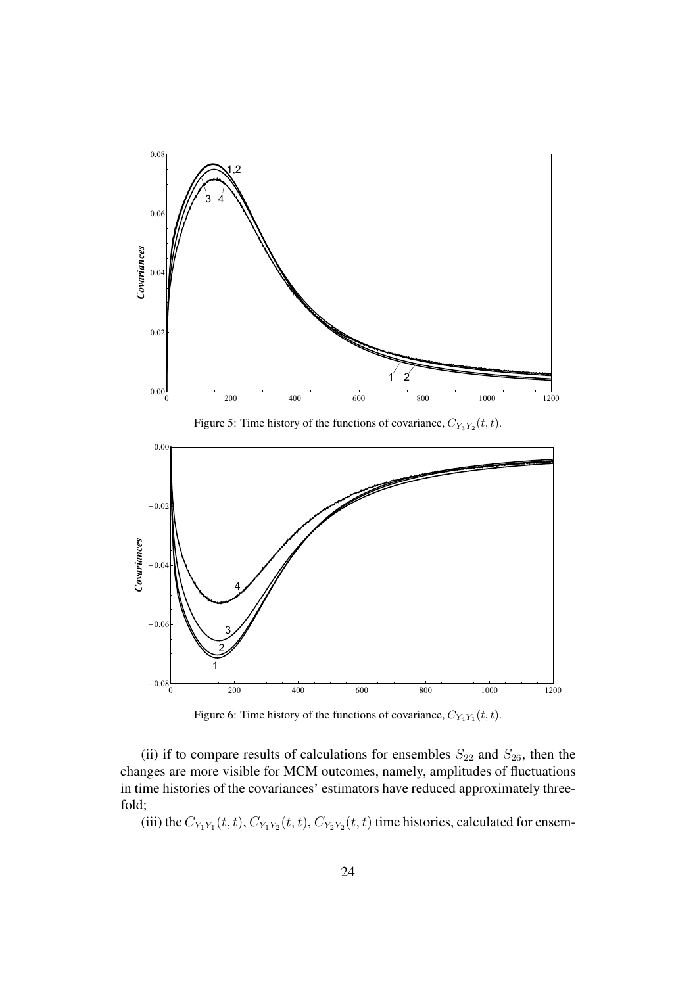

Figure 5: Time history of the functions of covariance,  $C_{Y_3Y_2}(t,t)$ .



Figure 6: Time history of the functions of covariance,  $C_{Y_4Y_1}(t,t)$ .

(ii) if to compare results of calculations for ensembles  $S_{22}$  and  $S_{26}$ , then the changes are more visible for MCM outcomes, namely, amplitudes of fluctuations in time histories of the covariances' estimators have reduced approximately threefold;

(iii) the  $C_{Y_1Y_1}(t,t)$ ,  $C_{Y_1Y_2}(t,t)$ ,  $C_{Y_2Y_2}(t,t)$  time histories, calculated for ensem-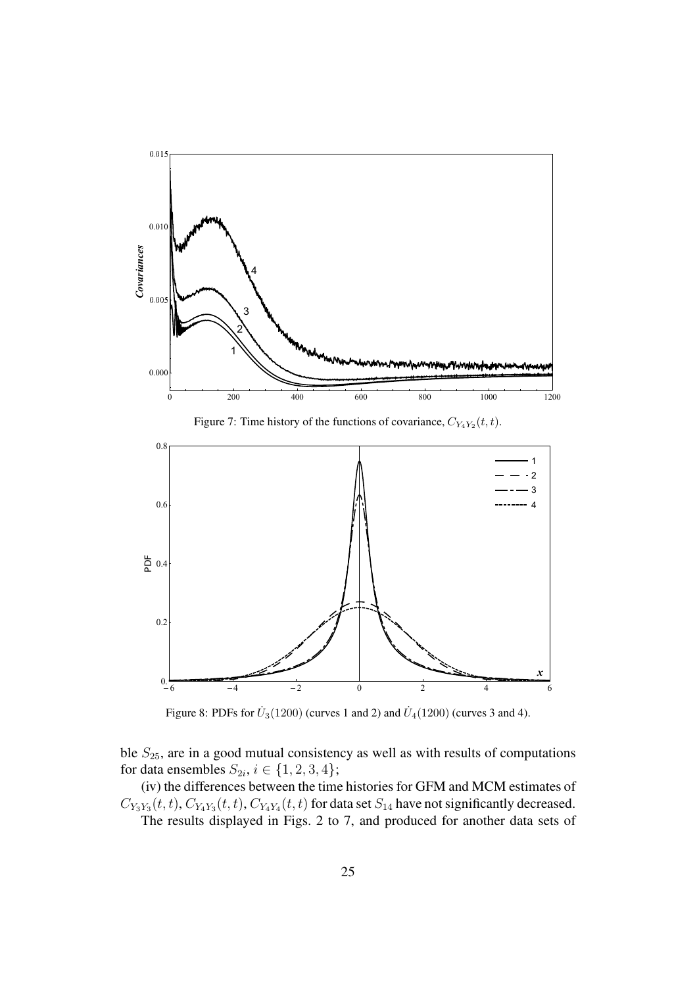

Figure 8: PDFs for  $\dot{U}_3(1200)$  (curves 1 and 2) and  $\dot{U}_4(1200)$  (curves 3 and 4).

ble  $S_{25}$ , are in a good mutual consistency as well as with results of computations for data ensembles  $S_{2i}$ ,  $i \in \{1, 2, 3, 4\}$ ;

(iv) the differences between the time histories for GFM and MCM estimates of  $C_{Y_3Y_3}(t,t)$ ,  $C_{Y_4Y_3}(t,t)$ ,  $C_{Y_4Y_4}(t,t)$  for data set  $S_{14}$  have not significantly decreased. The results displayed in Figs. 2 to 7, and produced for another data sets of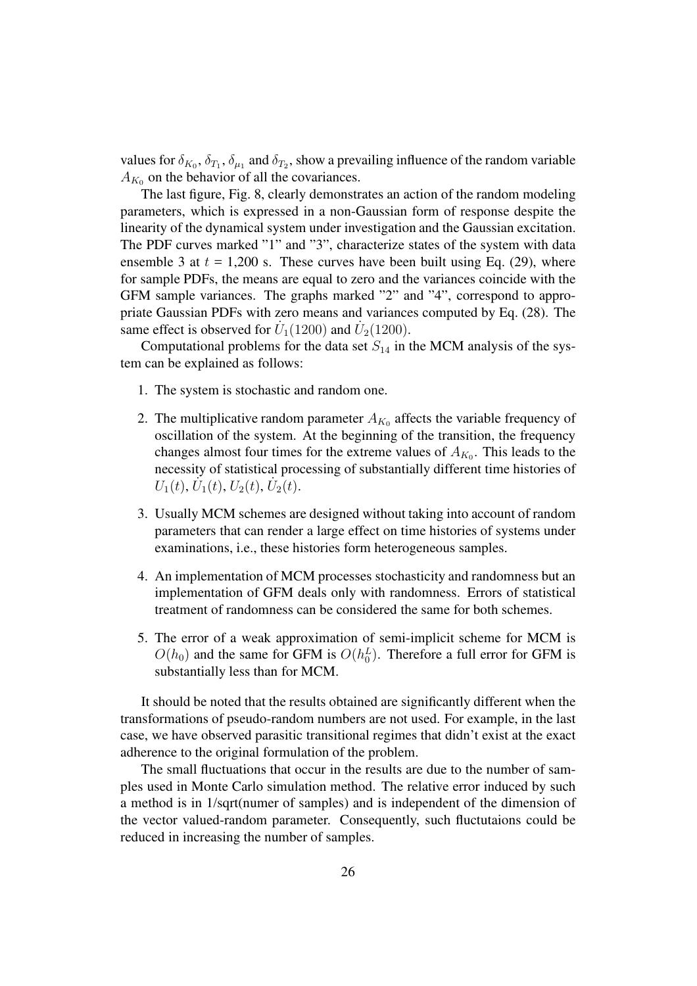values for  $\delta_{K_0}, \delta_{T_1}, \delta_{\mu_1}$  and  $\delta_{T_2}$ , show a prevailing influence of the random variable  $A_{K_0}$  on the behavior of all the covariances.

The last figure, Fig. 8, clearly demonstrates an action of the random modeling parameters, which is expressed in a non-Gaussian form of response despite the linearity of the dynamical system under investigation and the Gaussian excitation. The PDF curves marked "1" and "3", characterize states of the system with data ensemble 3 at  $t = 1,200$  s. These curves have been built using Eq. (29), where for sample PDFs, the means are equal to zero and the variances coincide with the GFM sample variances. The graphs marked "2" and "4", correspond to appropriate Gaussian PDFs with zero means and variances computed by Eq. (28). The same effect is observed for  $\dot{U}_1(1200)$  and  $\dot{U}_2(1200)$ .

Computational problems for the data set  $S_{14}$  in the MCM analysis of the system can be explained as follows:

- 1. The system is stochastic and random one.
- 2. The multiplicative random parameter  $A_{K_0}$  affects the variable frequency of oscillation of the system. At the beginning of the transition, the frequency changes almost four times for the extreme values of  $A_{K_0}$ . This leads to the necessity of statistical processing of substantially different time histories of  $U_1(t)$ ,  $U_1(t)$ ,  $U_2(t)$ ,  $U_2(t)$ .
- 3. Usually MCM schemes are designed without taking into account of random parameters that can render a large effect on time histories of systems under examinations, i.e., these histories form heterogeneous samples.
- 4. An implementation of MCM processes stochasticity and randomness but an implementation of GFM deals only with randomness. Errors of statistical treatment of randomness can be considered the same for both schemes.
- 5. The error of a weak approximation of semi-implicit scheme for MCM is  $O(h_0)$  and the same for GFM is  $O(h_0^L)$ . Therefore a full error for GFM is substantially less than for MCM.

It should be noted that the results obtained are significantly different when the transformations of pseudo-random numbers are not used. For example, in the last case, we have observed parasitic transitional regimes that didn't exist at the exact adherence to the original formulation of the problem.

The small fluctuations that occur in the results are due to the number of samples used in Monte Carlo simulation method. The relative error induced by such a method is in 1/sqrt(numer of samples) and is independent of the dimension of the vector valued-random parameter. Consequently, such fluctutaions could be reduced in increasing the number of samples.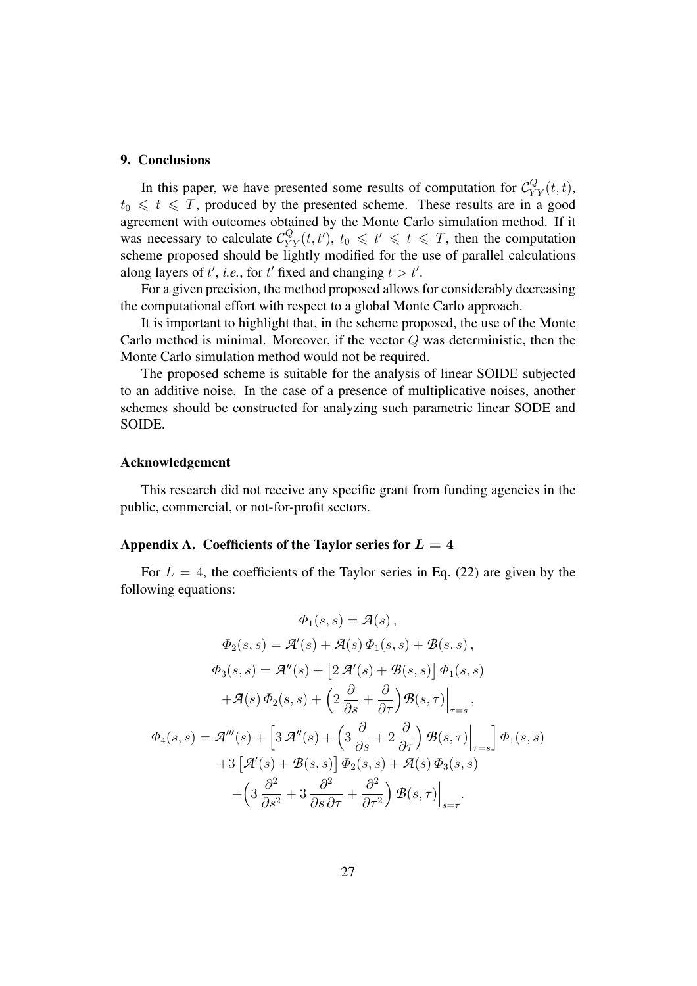#### **9. Conclusions**

In this paper, we have presented some results of computation for  $\mathcal{C}_{YY}^Q(t,t)$ ,  $t_0 \leq t \leq T$ , produced by the presented scheme. These results are in a good agreement with outcomes obtained by the Monte Carlo simulation method. If it was necessary to calculate  $\mathcal{C}_{YY}^Q(t,t')$ ,  $t_0 \leq t' \leq t \leq T$ , then the computation scheme proposed should be lightly modified for the use of parallel calculations along layers of t', *i.e.*, for t' fixed and changing  $t > t'$ .

For a given precision, the method proposed allows for considerably decreasing the computational effort with respect to a global Monte Carlo approach.

It is important to highlight that, in the scheme proposed, the use of the Monte Carlo method is minimal. Moreover, if the vector  $Q$  was deterministic, then the Monte Carlo simulation method would not be required.

The proposed scheme is suitable for the analysis of linear SOIDE subjected to an additive noise. In the case of a presence of multiplicative noises, another schemes should be constructed for analyzing such parametric linear SODE and SOIDE.

#### **Acknowledgement**

This research did not receive any specific grant from funding agencies in the public, commercial, or not-for-profit sectors.

## Appendix A. Coefficients of the Taylor series for  $L = 4$

For  $L = 4$ , the coefficients of the Taylor series in Eq. (22) are given by the following equations:

$$
\Phi_1(s, s) = \mathcal{A}(s),
$$
  
\n
$$
\Phi_2(s, s) = \mathcal{A}'(s) + \mathcal{A}(s) \Phi_1(s, s) + \mathcal{B}(s, s),
$$
  
\n
$$
\Phi_3(s, s) = \mathcal{A}''(s) + [2 \mathcal{A}'(s) + \mathcal{B}(s, s)] \Phi_1(s, s)
$$
  
\n
$$
+ \mathcal{A}(s) \Phi_2(s, s) + (2 \frac{\partial}{\partial s} + \frac{\partial}{\partial \tau}) \mathcal{B}(s, \tau)|_{\tau = s},
$$
  
\n
$$
\Phi_4(s, s) = \mathcal{A}'''(s) + [3 \mathcal{A}''(s) + (3 \frac{\partial}{\partial s} + 2 \frac{\partial}{\partial \tau}) \mathcal{B}(s, \tau)|_{\tau = s}] \Phi_1(s, s)
$$
  
\n
$$
+ 3 [\mathcal{A}'(s) + \mathcal{B}(s, s)] \Phi_2(s, s) + \mathcal{A}(s) \Phi_3(s, s)
$$
  
\n
$$
+ (3 \frac{\partial^2}{\partial s^2} + 3 \frac{\partial^2}{\partial s \partial \tau} + \frac{\partial^2}{\partial \tau^2}) \mathcal{B}(s, \tau)|_{s = \tau}.
$$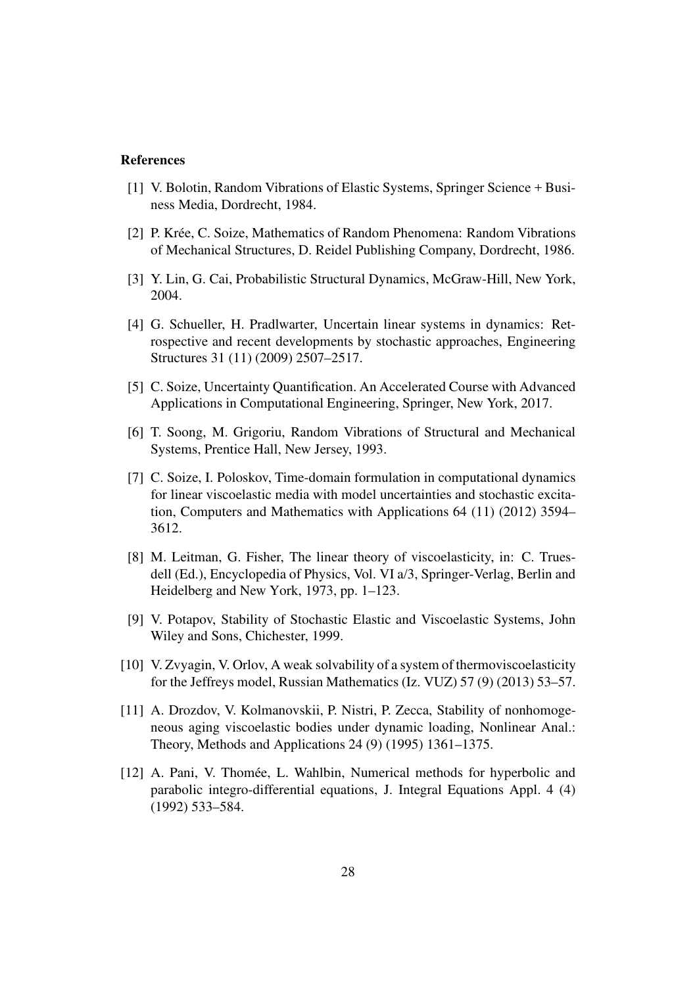#### **References**

- [1] V. Bolotin, Random Vibrations of Elastic Systems, Springer Science + Business Media, Dordrecht, 1984.
- [2] P. Krée, C. Soize, Mathematics of Random Phenomena: Random Vibrations of Mechanical Structures, D. Reidel Publishing Company, Dordrecht, 1986.
- [3] Y. Lin, G. Cai, Probabilistic Structural Dynamics, McGraw-Hill, New York, 2004.
- [4] G. Schueller, H. Pradlwarter, Uncertain linear systems in dynamics: Retrospective and recent developments by stochastic approaches, Engineering Structures 31 (11) (2009) 2507–2517.
- [5] C. Soize, Uncertainty Quantification. An Accelerated Course with Advanced Applications in Computational Engineering, Springer, New York, 2017.
- [6] T. Soong, M. Grigoriu, Random Vibrations of Structural and Mechanical Systems, Prentice Hall, New Jersey, 1993.
- [7] C. Soize, I. Poloskov, Time-domain formulation in computational dynamics for linear viscoelastic media with model uncertainties and stochastic excitation, Computers and Mathematics with Applications 64 (11) (2012) 3594– 3612.
- [8] M. Leitman, G. Fisher, The linear theory of viscoelasticity, in: C. Truesdell (Ed.), Encyclopedia of Physics, Vol. VI a/3, Springer-Verlag, Berlin and Heidelberg and New York, 1973, pp. 1–123.
- [9] V. Potapov, Stability of Stochastic Elastic and Viscoelastic Systems, John Wiley and Sons, Chichester, 1999.
- [10] V. Zvyagin, V. Orlov, A weak solvability of a system of thermoviscoelasticity for the Jeffreys model, Russian Mathematics (Iz. VUZ) 57 (9) (2013) 53–57.
- [11] A. Drozdov, V. Kolmanovskii, P. Nistri, P. Zecca, Stability of nonhomogeneous aging viscoelastic bodies under dynamic loading, Nonlinear Anal.: Theory, Methods and Applications 24 (9) (1995) 1361–1375.
- [12] A. Pani, V. Thomée, L. Wahlbin, Numerical methods for hyperbolic and parabolic integro-differential equations, J. Integral Equations Appl. 4 (4) (1992) 533–584.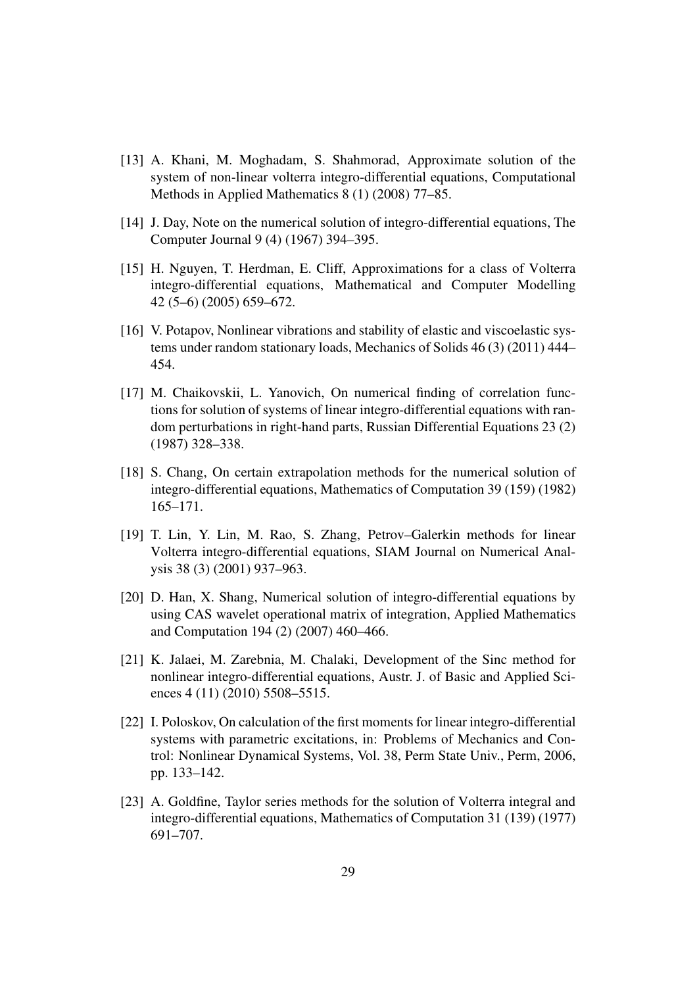- [13] A. Khani, M. Moghadam, S. Shahmorad, Approximate solution of the system of non-linear volterra integro-differential equations, Computational Methods in Applied Mathematics 8 (1) (2008) 77–85.
- [14] J. Day, Note on the numerical solution of integro-differential equations, The Computer Journal 9 (4) (1967) 394–395.
- [15] H. Nguyen, T. Herdman, E. Cliff, Approximations for a class of Volterra integro-differential equations, Mathematical and Computer Modelling 42 (5–6) (2005) 659–672.
- [16] V. Potapov, Nonlinear vibrations and stability of elastic and viscoelastic systems under random stationary loads, Mechanics of Solids 46 (3) (2011) 444– 454.
- [17] M. Chaikovskii, L. Yanovich, On numerical finding of correlation functions for solution of systems of linear integro-differential equations with random perturbations in right-hand parts, Russian Differential Equations 23 (2) (1987) 328–338.
- [18] S. Chang, On certain extrapolation methods for the numerical solution of integro-differential equations, Mathematics of Computation 39 (159) (1982) 165–171.
- [19] T. Lin, Y. Lin, M. Rao, S. Zhang, Petrov–Galerkin methods for linear Volterra integro-differential equations, SIAM Journal on Numerical Analysis 38 (3) (2001) 937–963.
- [20] D. Han, X. Shang, Numerical solution of integro-differential equations by using CAS wavelet operational matrix of integration, Applied Mathematics and Computation 194 (2) (2007) 460–466.
- [21] K. Jalaei, M. Zarebnia, M. Chalaki, Development of the Sinc method for nonlinear integro-differential equations, Austr. J. of Basic and Applied Sciences 4 (11) (2010) 5508-5515.
- [22] I. Poloskov, On calculation of the first moments for linear integro-differential systems with parametric excitations, in: Problems of Mechanics and Control: Nonlinear Dynamical Systems, Vol. 38, Perm State Univ., Perm, 2006, pp. 133–142.
- [23] A. Goldfine, Taylor series methods for the solution of Volterra integral and integro-differential equations, Mathematics of Computation 31 (139) (1977) 691–707.